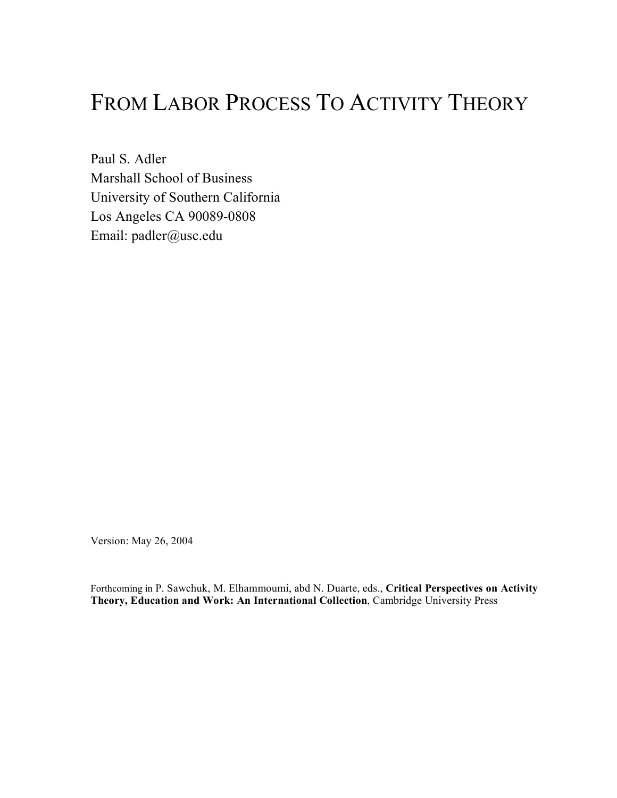# FROM LABOR PROCESS TO ACTIVITY THEORY

Paul S. Adler Marshall School of Business University of Southern California Los Angeles CA 90089-0808 Email: padler@usc.edu

Version: May 26, 2004

Forthcoming in P. Sawchuk, M. Elhammoumi, abd N. Duarte, eds., **Critical Perspectives on Activity Theory, Education and Work: An International Collection**, Cambridge University Press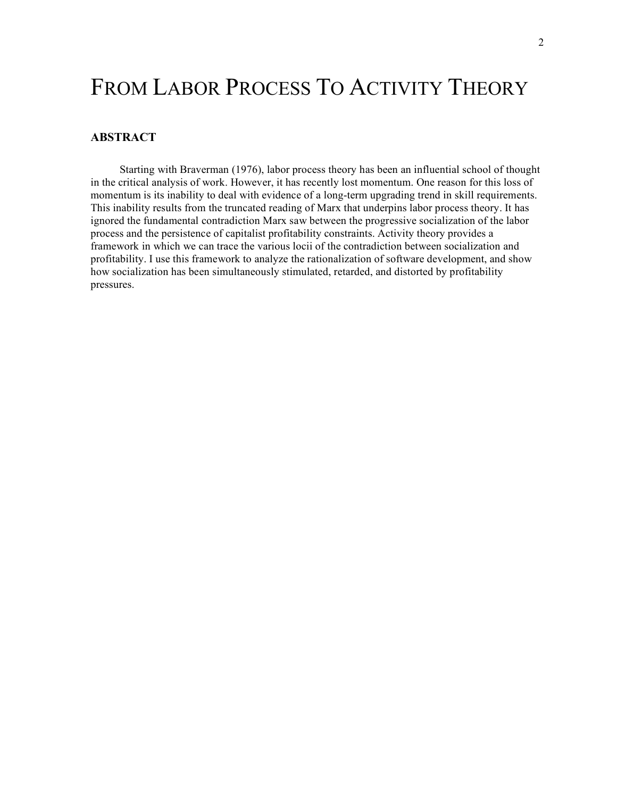# FROM LABOR PROCESS TO ACTIVITY THEORY

# **ABSTRACT**

Starting with Braverman (1976), labor process theory has been an influential school of thought in the critical analysis of work. However, it has recently lost momentum. One reason for this loss of momentum is its inability to deal with evidence of a long-term upgrading trend in skill requirements. This inability results from the truncated reading of Marx that underpins labor process theory. It has ignored the fundamental contradiction Marx saw between the progressive socialization of the labor process and the persistence of capitalist profitability constraints. Activity theory provides a framework in which we can trace the various locii of the contradiction between socialization and profitability. I use this framework to analyze the rationalization of software development, and show how socialization has been simultaneously stimulated, retarded, and distorted by profitability pressures.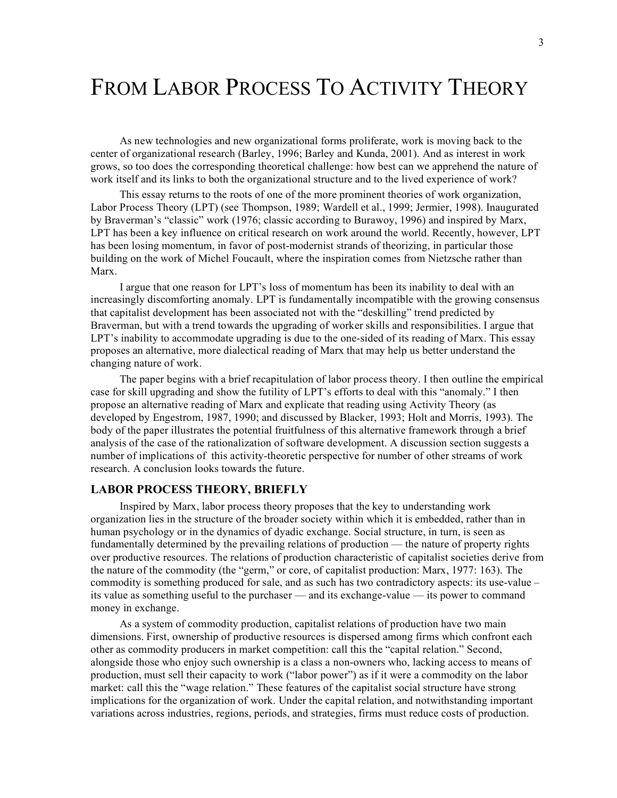# FROM LABOR PROCESS TO ACTIVITY THEORY

As new technologies and new organizational forms proliferate, work is moving back to the center of organizational research (Barley, 1996; Barley and Kunda, 2001). And as interest in work grows, so too does the corresponding theoretical challenge: how best can we apprehend the nature of work itself and its links to both the organizational structure and to the lived experience of work?

This essay returns to the roots of one of the more prominent theories of work organization, Labor Process Theory (LPT) (see Thompson, 1989; Wardell et al., 1999; Jermier, 1998). Inaugurated by Braverman's "classic" work (1976; classic according to Burawoy, 1996) and inspired by Marx, LPT has been a key influence on critical research on work around the world. Recently, however, LPT has been losing momentum, in favor of post-modernist strands of theorizing, in particular those building on the work of Michel Foucault, where the inspiration comes from Nietzsche rather than Marx.

I argue that one reason for LPT's loss of momentum has been its inability to deal with an increasingly discomforting anomaly. LPT is fundamentally incompatible with the growing consensus that capitalist development has been associated not with the "deskilling" trend predicted by Braverman, but with a trend towards the upgrading of worker skills and responsibilities. I argue that LPT's inability to accommodate upgrading is due to the one-sided of its reading of Marx. This essay proposes an alternative, more dialectical reading of Marx that may help us better understand the changing nature of work.

The paper begins with a brief recapitulation of labor process theory. I then outline the empirical case for skill upgrading and show the futility of LPT's efforts to deal with this "anomaly." I then propose an alternative reading of Marx and explicate that reading using Activity Theory (as developed by Engestrom, 1987, 1990; and discussed by Blacker, 1993; Holt and Morris, 1993). The body of the paper illustrates the potential fruitfulness of this alternative framework through a brief analysis of the case of the rationalization of software development. A discussion section suggests a number of implications of this activity-theoretic perspective for number of other streams of work research. A conclusion looks towards the future.

## **LABOR PROCESS THEORY, BRIEFLY**

Inspired by Marx, labor process theory proposes that the key to understanding work organization lies in the structure of the broader society within which it is embedded, rather than in human psychology or in the dynamics of dyadic exchange. Social structure, in turn, is seen as fundamentally determined by the prevailing relations of production — the nature of property rights over productive resources. The relations of production characteristic of capitalist societies derive from the nature of the commodity (the "germ," or core, of capitalist production: Marx, 1977: 163). The commodity is something produced for sale, and as such has two contradictory aspects: its use-value – its value as something useful to the purchaser — and its exchange-value — its power to command money in exchange.

As a system of commodity production, capitalist relations of production have two main dimensions. First, ownership of productive resources is dispersed among firms which confront each other as commodity producers in market competition: call this the "capital relation." Second, alongside those who enjoy such ownership is a class a non-owners who, lacking access to means of production, must sell their capacity to work ("labor power") as if it were a commodity on the labor market: call this the "wage relation." These features of the capitalist social structure have strong implications for the organization of work. Under the capital relation, and notwithstanding important variations across industries, regions, periods, and strategies, firms must reduce costs of production.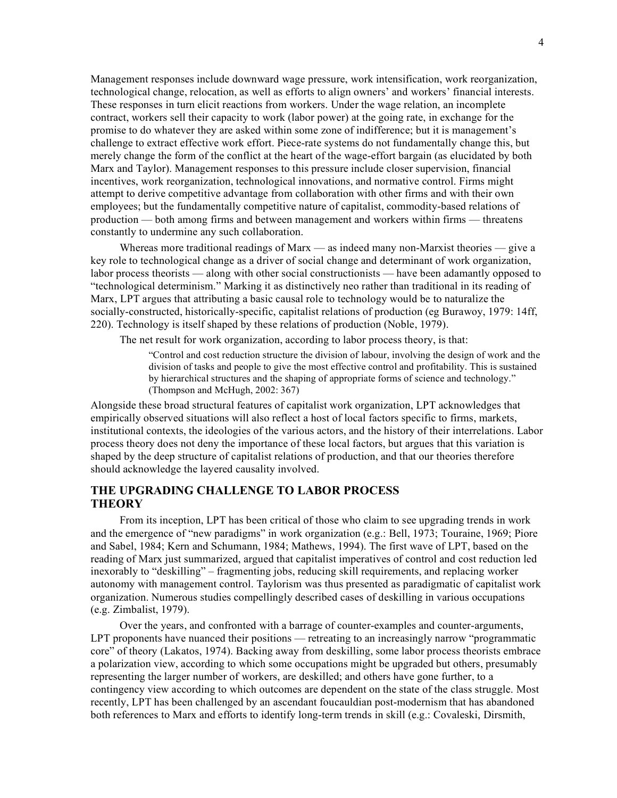Management responses include downward wage pressure, work intensification, work reorganization, technological change, relocation, as well as efforts to align owners' and workers' financial interests. These responses in turn elicit reactions from workers. Under the wage relation, an incomplete contract, workers sell their capacity to work (labor power) at the going rate, in exchange for the promise to do whatever they are asked within some zone of indifference; but it is management's challenge to extract effective work effort. Piece-rate systems do not fundamentally change this, but merely change the form of the conflict at the heart of the wage-effort bargain (as elucidated by both Marx and Taylor). Management responses to this pressure include closer supervision, financial incentives, work reorganization, technological innovations, and normative control. Firms might attempt to derive competitive advantage from collaboration with other firms and with their own employees; but the fundamentally competitive nature of capitalist, commodity-based relations of production — both among firms and between management and workers within firms — threatens constantly to undermine any such collaboration.

Whereas more traditional readings of Marx — as indeed many non-Marxist theories — give a key role to technological change as a driver of social change and determinant of work organization, labor process theorists — along with other social constructionists — have been adamantly opposed to "technological determinism." Marking it as distinctively neo rather than traditional in its reading of Marx, LPT argues that attributing a basic causal role to technology would be to naturalize the socially-constructed, historically-specific, capitalist relations of production (eg Burawoy, 1979: 14ff, 220). Technology is itself shaped by these relations of production (Noble, 1979).

The net result for work organization, according to labor process theory, is that:

"Control and cost reduction structure the division of labour, involving the design of work and the division of tasks and people to give the most effective control and profitability. This is sustained by hierarchical structures and the shaping of appropriate forms of science and technology." (Thompson and McHugh, 2002: 367)

Alongside these broad structural features of capitalist work organization, LPT acknowledges that empirically observed situations will also reflect a host of local factors specific to firms, markets, institutional contexts, the ideologies of the various actors, and the history of their interrelations. Labor process theory does not deny the importance of these local factors, but argues that this variation is shaped by the deep structure of capitalist relations of production, and that our theories therefore should acknowledge the layered causality involved.

# **THE UPGRADING CHALLENGE TO LABOR PROCESS THEORY**

From its inception, LPT has been critical of those who claim to see upgrading trends in work and the emergence of "new paradigms" in work organization (e.g.: Bell, 1973; Touraine, 1969; Piore and Sabel, 1984; Kern and Schumann, 1984; Mathews, 1994). The first wave of LPT, based on the reading of Marx just summarized, argued that capitalist imperatives of control and cost reduction led inexorably to "deskilling" – fragmenting jobs, reducing skill requirements, and replacing worker autonomy with management control. Taylorism was thus presented as paradigmatic of capitalist work organization. Numerous studies compellingly described cases of deskilling in various occupations (e.g. Zimbalist, 1979).

Over the years, and confronted with a barrage of counter-examples and counter-arguments, LPT proponents have nuanced their positions — retreating to an increasingly narrow "programmatic core" of theory (Lakatos, 1974). Backing away from deskilling, some labor process theorists embrace a polarization view, according to which some occupations might be upgraded but others, presumably representing the larger number of workers, are deskilled; and others have gone further, to a contingency view according to which outcomes are dependent on the state of the class struggle. Most recently, LPT has been challenged by an ascendant foucauldian post-modernism that has abandoned both references to Marx and efforts to identify long-term trends in skill (e.g.: Covaleski, Dirsmith,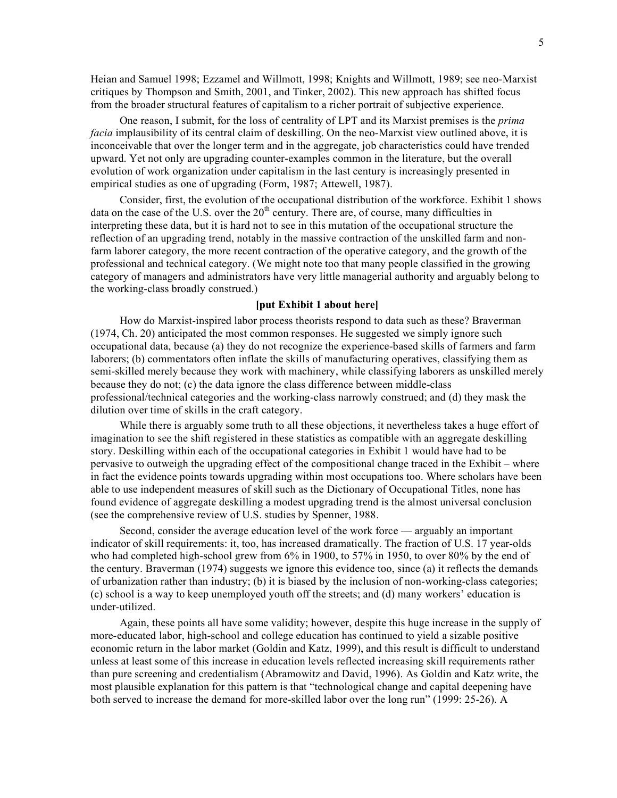Heian and Samuel 1998; Ezzamel and Willmott, 1998; Knights and Willmott, 1989; see neo-Marxist critiques by Thompson and Smith, 2001, and Tinker, 2002). This new approach has shifted focus from the broader structural features of capitalism to a richer portrait of subjective experience.

One reason, I submit, for the loss of centrality of LPT and its Marxist premises is the *prima facia* implausibility of its central claim of deskilling. On the neo-Marxist view outlined above, it is inconceivable that over the longer term and in the aggregate, job characteristics could have trended upward. Yet not only are upgrading counter-examples common in the literature, but the overall evolution of work organization under capitalism in the last century is increasingly presented in empirical studies as one of upgrading (Form, 1987; Attewell, 1987).

Consider, first, the evolution of the occupational distribution of the workforce. Exhibit 1 shows data on the case of the U.S. over the  $20<sup>th</sup>$  century. There are, of course, many difficulties in interpreting these data, but it is hard not to see in this mutation of the occupational structure the reflection of an upgrading trend, notably in the massive contraction of the unskilled farm and nonfarm laborer category, the more recent contraction of the operative category, and the growth of the professional and technical category. (We might note too that many people classified in the growing category of managers and administrators have very little managerial authority and arguably belong to the working-class broadly construed.)

## **[put Exhibit 1 about here]**

How do Marxist-inspired labor process theorists respond to data such as these? Braverman (1974, Ch. 20) anticipated the most common responses. He suggested we simply ignore such occupational data, because (a) they do not recognize the experience-based skills of farmers and farm laborers; (b) commentators often inflate the skills of manufacturing operatives, classifying them as semi-skilled merely because they work with machinery, while classifying laborers as unskilled merely because they do not; (c) the data ignore the class difference between middle-class professional/technical categories and the working-class narrowly construed; and (d) they mask the dilution over time of skills in the craft category.

While there is arguably some truth to all these objections, it nevertheless takes a huge effort of imagination to see the shift registered in these statistics as compatible with an aggregate deskilling story. Deskilling within each of the occupational categories in Exhibit 1 would have had to be pervasive to outweigh the upgrading effect of the compositional change traced in the Exhibit – where in fact the evidence points towards upgrading within most occupations too. Where scholars have been able to use independent measures of skill such as the Dictionary of Occupational Titles, none has found evidence of aggregate deskilling a modest upgrading trend is the almost universal conclusion (see the comprehensive review of U.S. studies by Spenner, 1988.

Second, consider the average education level of the work force — arguably an important indicator of skill requirements: it, too, has increased dramatically. The fraction of U.S. 17 year-olds who had completed high-school grew from 6% in 1900, to 57% in 1950, to over 80% by the end of the century. Braverman (1974) suggests we ignore this evidence too, since (a) it reflects the demands of urbanization rather than industry; (b) it is biased by the inclusion of non-working-class categories; (c) school is a way to keep unemployed youth off the streets; and (d) many workers' education is under-utilized.

Again, these points all have some validity; however, despite this huge increase in the supply of more-educated labor, high-school and college education has continued to yield a sizable positive economic return in the labor market (Goldin and Katz, 1999), and this result is difficult to understand unless at least some of this increase in education levels reflected increasing skill requirements rather than pure screening and credentialism (Abramowitz and David, 1996). As Goldin and Katz write, the most plausible explanation for this pattern is that "technological change and capital deepening have both served to increase the demand for more-skilled labor over the long run" (1999: 25-26). A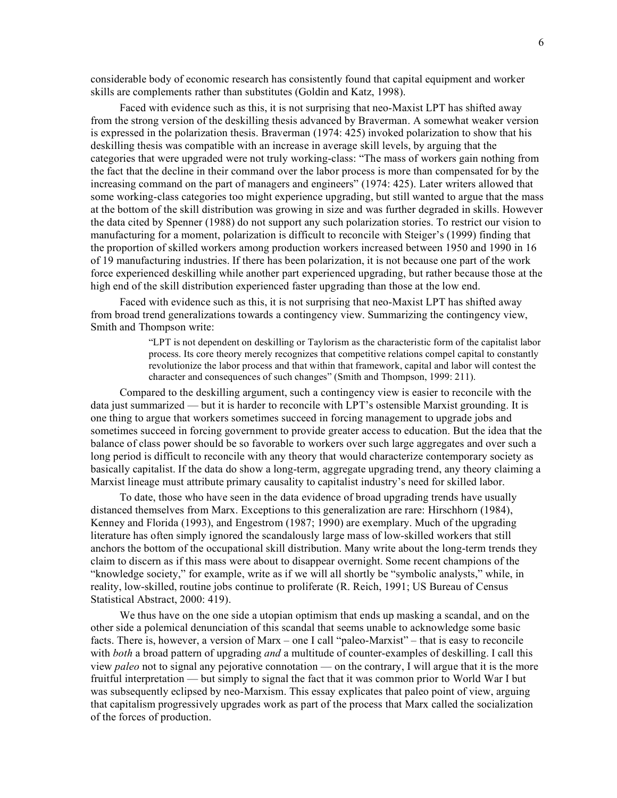considerable body of economic research has consistently found that capital equipment and worker skills are complements rather than substitutes (Goldin and Katz, 1998).

Faced with evidence such as this, it is not surprising that neo-Maxist LPT has shifted away from the strong version of the deskilling thesis advanced by Braverman. A somewhat weaker version is expressed in the polarization thesis. Braverman (1974: 425) invoked polarization to show that his deskilling thesis was compatible with an increase in average skill levels, by arguing that the categories that were upgraded were not truly working-class: "The mass of workers gain nothing from the fact that the decline in their command over the labor process is more than compensated for by the increasing command on the part of managers and engineers" (1974: 425). Later writers allowed that some working-class categories too might experience upgrading, but still wanted to argue that the mass at the bottom of the skill distribution was growing in size and was further degraded in skills. However the data cited by Spenner (1988) do not support any such polarization stories. To restrict our vision to manufacturing for a moment, polarization is difficult to reconcile with Steiger's (1999) finding that the proportion of skilled workers among production workers increased between 1950 and 1990 in 16 of 19 manufacturing industries. If there has been polarization, it is not because one part of the work force experienced deskilling while another part experienced upgrading, but rather because those at the high end of the skill distribution experienced faster upgrading than those at the low end.

Faced with evidence such as this, it is not surprising that neo-Maxist LPT has shifted away from broad trend generalizations towards a contingency view. Summarizing the contingency view, Smith and Thompson write:

> "LPT is not dependent on deskilling or Taylorism as the characteristic form of the capitalist labor process. Its core theory merely recognizes that competitive relations compel capital to constantly revolutionize the labor process and that within that framework, capital and labor will contest the character and consequences of such changes" (Smith and Thompson, 1999: 211).

Compared to the deskilling argument, such a contingency view is easier to reconcile with the data just summarized — but it is harder to reconcile with LPT's ostensible Marxist grounding. It is one thing to argue that workers sometimes succeed in forcing management to upgrade jobs and sometimes succeed in forcing government to provide greater access to education. But the idea that the balance of class power should be so favorable to workers over such large aggregates and over such a long period is difficult to reconcile with any theory that would characterize contemporary society as basically capitalist. If the data do show a long-term, aggregate upgrading trend, any theory claiming a Marxist lineage must attribute primary causality to capitalist industry's need for skilled labor.

To date, those who have seen in the data evidence of broad upgrading trends have usually distanced themselves from Marx. Exceptions to this generalization are rare: Hirschhorn (1984), Kenney and Florida (1993), and Engestrom (1987; 1990) are exemplary. Much of the upgrading literature has often simply ignored the scandalously large mass of low-skilled workers that still anchors the bottom of the occupational skill distribution. Many write about the long-term trends they claim to discern as if this mass were about to disappear overnight. Some recent champions of the "knowledge society," for example, write as if we will all shortly be "symbolic analysts," while, in reality, low-skilled, routine jobs continue to proliferate (R. Reich, 1991; US Bureau of Census Statistical Abstract, 2000: 419).

We thus have on the one side a utopian optimism that ends up masking a scandal, and on the other side a polemical denunciation of this scandal that seems unable to acknowledge some basic facts. There is, however, a version of Marx – one I call "paleo-Marxist" – that is easy to reconcile with *both* a broad pattern of upgrading *and* a multitude of counter-examples of deskilling. I call this view *paleo* not to signal any pejorative connotation — on the contrary, I will argue that it is the more fruitful interpretation — but simply to signal the fact that it was common prior to World War I but was subsequently eclipsed by neo-Marxism. This essay explicates that paleo point of view, arguing that capitalism progressively upgrades work as part of the process that Marx called the socialization of the forces of production.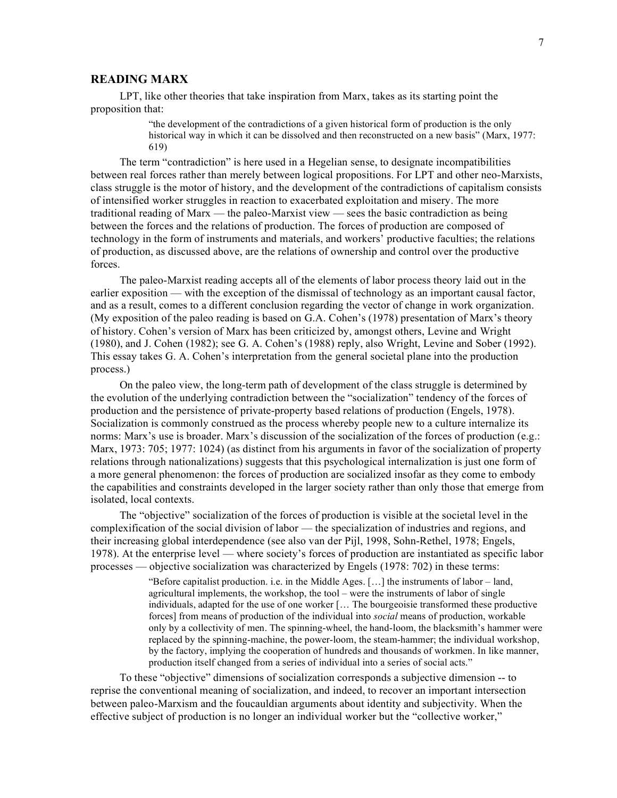## **READING MARX**

LPT, like other theories that take inspiration from Marx, takes as its starting point the proposition that:

> "the development of the contradictions of a given historical form of production is the only historical way in which it can be dissolved and then reconstructed on a new basis" (Marx, 1977; 619)

The term "contradiction" is here used in a Hegelian sense, to designate incompatibilities between real forces rather than merely between logical propositions. For LPT and other neo-Marxists, class struggle is the motor of history, and the development of the contradictions of capitalism consists of intensified worker struggles in reaction to exacerbated exploitation and misery. The more traditional reading of Marx — the paleo-Marxist view — sees the basic contradiction as being between the forces and the relations of production. The forces of production are composed of technology in the form of instruments and materials, and workers' productive faculties; the relations of production, as discussed above, are the relations of ownership and control over the productive forces.

The paleo-Marxist reading accepts all of the elements of labor process theory laid out in the earlier exposition — with the exception of the dismissal of technology as an important causal factor, and as a result, comes to a different conclusion regarding the vector of change in work organization. (My exposition of the paleo reading is based on G.A. Cohen's (1978) presentation of Marx's theory of history. Cohen's version of Marx has been criticized by, amongst others, Levine and Wright (1980), and J. Cohen (1982); see G. A. Cohen's (1988) reply, also Wright, Levine and Sober (1992). This essay takes G. A. Cohen's interpretation from the general societal plane into the production process.)

On the paleo view, the long-term path of development of the class struggle is determined by the evolution of the underlying contradiction between the "socialization" tendency of the forces of production and the persistence of private-property based relations of production (Engels, 1978). Socialization is commonly construed as the process whereby people new to a culture internalize its norms: Marx's use is broader. Marx's discussion of the socialization of the forces of production (e.g.: Marx, 1973: 705; 1977: 1024) (as distinct from his arguments in favor of the socialization of property relations through nationalizations) suggests that this psychological internalization is just one form of a more general phenomenon: the forces of production are socialized insofar as they come to embody the capabilities and constraints developed in the larger society rather than only those that emerge from isolated, local contexts.

The "objective" socialization of the forces of production is visible at the societal level in the complexification of the social division of labor — the specialization of industries and regions, and their increasing global interdependence (see also van der Pijl, 1998, Sohn-Rethel, 1978; Engels, 1978). At the enterprise level — where society's forces of production are instantiated as specific labor processes — objective socialization was characterized by Engels (1978: 702) in these terms:

> "Before capitalist production. i.e. in the Middle Ages. […] the instruments of labor – land, agricultural implements, the workshop, the tool – were the instruments of labor of single individuals, adapted for the use of one worker [… The bourgeoisie transformed these productive forces] from means of production of the individual into *social* means of production, workable only by a collectivity of men. The spinning-wheel, the hand-loom, the blacksmith's hammer were replaced by the spinning-machine, the power-loom, the steam-hammer; the individual workshop, by the factory, implying the cooperation of hundreds and thousands of workmen. In like manner, production itself changed from a series of individual into a series of social acts."

To these "objective" dimensions of socialization corresponds a subjective dimension -- to reprise the conventional meaning of socialization, and indeed, to recover an important intersection between paleo-Marxism and the foucauldian arguments about identity and subjectivity. When the effective subject of production is no longer an individual worker but the "collective worker,"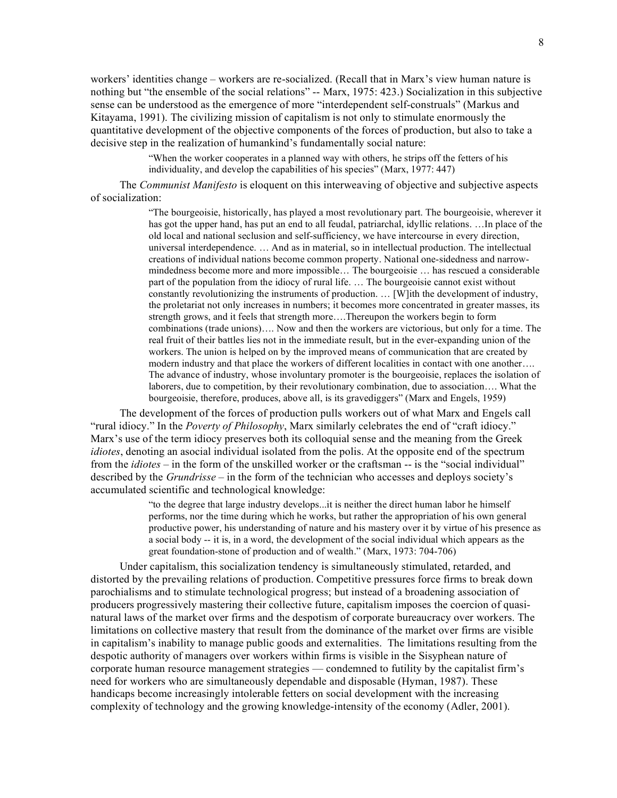workers' identities change – workers are re-socialized. (Recall that in Marx's view human nature is nothing but "the ensemble of the social relations" -- Marx, 1975: 423.) Socialization in this subjective sense can be understood as the emergence of more "interdependent self-construals" (Markus and Kitayama, 1991). The civilizing mission of capitalism is not only to stimulate enormously the quantitative development of the objective components of the forces of production, but also to take a decisive step in the realization of humankind's fundamentally social nature:

> "When the worker cooperates in a planned way with others, he strips off the fetters of his individuality, and develop the capabilities of his species" (Marx, 1977: 447)

The *Communist Manifesto* is eloquent on this interweaving of objective and subjective aspects of socialization:

> "The bourgeoisie, historically, has played a most revolutionary part. The bourgeoisie, wherever it has got the upper hand, has put an end to all feudal, patriarchal, idyllic relations. …In place of the old local and national seclusion and self-sufficiency, we have intercourse in every direction, universal interdependence. … And as in material, so in intellectual production. The intellectual creations of individual nations become common property. National one-sidedness and narrowmindedness become more and more impossible… The bourgeoisie … has rescued a considerable part of the population from the idiocy of rural life. … The bourgeoisie cannot exist without constantly revolutionizing the instruments of production. … [W]ith the development of industry, the proletariat not only increases in numbers; it becomes more concentrated in greater masses, its strength grows, and it feels that strength more….Thereupon the workers begin to form combinations (trade unions)…. Now and then the workers are victorious, but only for a time. The real fruit of their battles lies not in the immediate result, but in the ever-expanding union of the workers. The union is helped on by the improved means of communication that are created by modern industry and that place the workers of different localities in contact with one another…. The advance of industry, whose involuntary promoter is the bourgeoisie, replaces the isolation of laborers, due to competition, by their revolutionary combination, due to association…. What the bourgeoisie, therefore, produces, above all, is its gravediggers" (Marx and Engels, 1959)

The development of the forces of production pulls workers out of what Marx and Engels call "rural idiocy." In the *Poverty of Philosophy*, Marx similarly celebrates the end of "craft idiocy." Marx's use of the term idiocy preserves both its colloquial sense and the meaning from the Greek *idiotes*, denoting an asocial individual isolated from the polis. At the opposite end of the spectrum from the *idiotes* – in the form of the unskilled worker or the craftsman -- is the "social individual" described by the *Grundrisse* – in the form of the technician who accesses and deploys society's accumulated scientific and technological knowledge:

> "to the degree that large industry develops...it is neither the direct human labor he himself performs, nor the time during which he works, but rather the appropriation of his own general productive power, his understanding of nature and his mastery over it by virtue of his presence as a social body -- it is, in a word, the development of the social individual which appears as the great foundation-stone of production and of wealth." (Marx, 1973: 704-706)

Under capitalism, this socialization tendency is simultaneously stimulated, retarded, and distorted by the prevailing relations of production. Competitive pressures force firms to break down parochialisms and to stimulate technological progress; but instead of a broadening association of producers progressively mastering their collective future, capitalism imposes the coercion of quasinatural laws of the market over firms and the despotism of corporate bureaucracy over workers. The limitations on collective mastery that result from the dominance of the market over firms are visible in capitalism's inability to manage public goods and externalities. The limitations resulting from the despotic authority of managers over workers within firms is visible in the Sisyphean nature of corporate human resource management strategies — condemned to futility by the capitalist firm's need for workers who are simultaneously dependable and disposable (Hyman, 1987). These handicaps become increasingly intolerable fetters on social development with the increasing complexity of technology and the growing knowledge-intensity of the economy (Adler, 2001).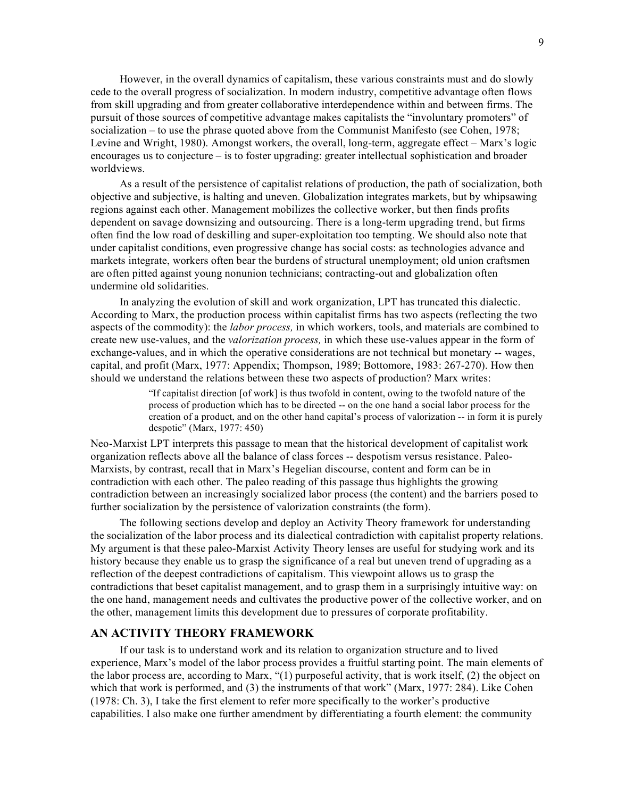However, in the overall dynamics of capitalism, these various constraints must and do slowly cede to the overall progress of socialization. In modern industry, competitive advantage often flows from skill upgrading and from greater collaborative interdependence within and between firms. The pursuit of those sources of competitive advantage makes capitalists the "involuntary promoters" of socialization – to use the phrase quoted above from the Communist Manifesto (see Cohen, 1978; Levine and Wright, 1980). Amongst workers, the overall, long-term, aggregate effect – Marx's logic encourages us to conjecture – is to foster upgrading: greater intellectual sophistication and broader worldviews.

As a result of the persistence of capitalist relations of production, the path of socialization, both objective and subjective, is halting and uneven. Globalization integrates markets, but by whipsawing regions against each other. Management mobilizes the collective worker, but then finds profits dependent on savage downsizing and outsourcing. There is a long-term upgrading trend, but firms often find the low road of deskilling and super-exploitation too tempting. We should also note that under capitalist conditions, even progressive change has social costs: as technologies advance and markets integrate, workers often bear the burdens of structural unemployment; old union craftsmen are often pitted against young nonunion technicians; contracting-out and globalization often undermine old solidarities.

In analyzing the evolution of skill and work organization, LPT has truncated this dialectic. According to Marx, the production process within capitalist firms has two aspects (reflecting the two aspects of the commodity): the *labor process,* in which workers, tools, and materials are combined to create new use-values, and the *valorization process,* in which these use-values appear in the form of exchange-values, and in which the operative considerations are not technical but monetary -- wages, capital, and profit (Marx, 1977: Appendix; Thompson, 1989; Bottomore, 1983: 267-270). How then should we understand the relations between these two aspects of production? Marx writes:

> "If capitalist direction [of work] is thus twofold in content, owing to the twofold nature of the process of production which has to be directed -- on the one hand a social labor process for the creation of a product, and on the other hand capital's process of valorization -- in form it is purely despotic" (Marx, 1977: 450)

Neo-Marxist LPT interprets this passage to mean that the historical development of capitalist work organization reflects above all the balance of class forces -- despotism versus resistance. Paleo-Marxists, by contrast, recall that in Marx's Hegelian discourse, content and form can be in contradiction with each other. The paleo reading of this passage thus highlights the growing contradiction between an increasingly socialized labor process (the content) and the barriers posed to further socialization by the persistence of valorization constraints (the form).

The following sections develop and deploy an Activity Theory framework for understanding the socialization of the labor process and its dialectical contradiction with capitalist property relations. My argument is that these paleo-Marxist Activity Theory lenses are useful for studying work and its history because they enable us to grasp the significance of a real but uneven trend of upgrading as a reflection of the deepest contradictions of capitalism. This viewpoint allows us to grasp the contradictions that beset capitalist management, and to grasp them in a surprisingly intuitive way: on the one hand, management needs and cultivates the productive power of the collective worker, and on the other, management limits this development due to pressures of corporate profitability.

# **AN ACTIVITY THEORY FRAMEWORK**

If our task is to understand work and its relation to organization structure and to lived experience, Marx's model of the labor process provides a fruitful starting point. The main elements of the labor process are, according to Marx, "(1) purposeful activity, that is work itself, (2) the object on which that work is performed, and (3) the instruments of that work" (Marx, 1977: 284). Like Cohen (1978: Ch. 3), I take the first element to refer more specifically to the worker's productive capabilities. I also make one further amendment by differentiating a fourth element: the community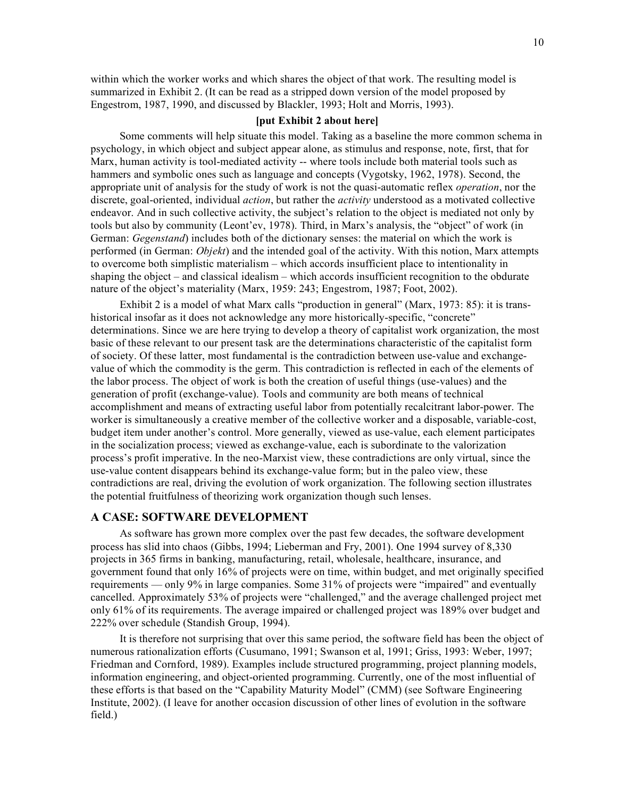within which the worker works and which shares the object of that work. The resulting model is summarized in Exhibit 2. (It can be read as a stripped down version of the model proposed by Engestrom, 1987, 1990, and discussed by Blackler, 1993; Holt and Morris, 1993).

#### **[put Exhibit 2 about here]**

Some comments will help situate this model. Taking as a baseline the more common schema in psychology, in which object and subject appear alone, as stimulus and response, note, first, that for Marx, human activity is tool-mediated activity -- where tools include both material tools such as hammers and symbolic ones such as language and concepts (Vygotsky, 1962, 1978). Second, the appropriate unit of analysis for the study of work is not the quasi-automatic reflex *operation*, nor the discrete, goal-oriented, individual *action*, but rather the *activity* understood as a motivated collective endeavor. And in such collective activity, the subject's relation to the object is mediated not only by tools but also by community (Leont'ev, 1978). Third, in Marx's analysis, the "object" of work (in German: *Gegenstand*) includes both of the dictionary senses: the material on which the work is performed (in German: *Objekt*) and the intended goal of the activity. With this notion, Marx attempts to overcome both simplistic materialism – which accords insufficient place to intentionality in shaping the object – and classical idealism – which accords insufficient recognition to the obdurate nature of the object's materiality (Marx, 1959: 243; Engestrom, 1987; Foot, 2002).

Exhibit 2 is a model of what Marx calls "production in general" (Marx, 1973: 85): it is transhistorical insofar as it does not acknowledge any more historically-specific, "concrete" determinations. Since we are here trying to develop a theory of capitalist work organization, the most basic of these relevant to our present task are the determinations characteristic of the capitalist form of society. Of these latter, most fundamental is the contradiction between use-value and exchangevalue of which the commodity is the germ. This contradiction is reflected in each of the elements of the labor process. The object of work is both the creation of useful things (use-values) and the generation of profit (exchange-value). Tools and community are both means of technical accomplishment and means of extracting useful labor from potentially recalcitrant labor-power. The worker is simultaneously a creative member of the collective worker and a disposable, variable-cost, budget item under another's control. More generally, viewed as use-value, each element participates in the socialization process; viewed as exchange-value, each is subordinate to the valorization process's profit imperative. In the neo-Marxist view, these contradictions are only virtual, since the use-value content disappears behind its exchange-value form; but in the paleo view, these contradictions are real, driving the evolution of work organization. The following section illustrates the potential fruitfulness of theorizing work organization though such lenses.

#### **A CASE: SOFTWARE DEVELOPMENT**

As software has grown more complex over the past few decades, the software development process has slid into chaos (Gibbs, 1994; Lieberman and Fry, 2001). One 1994 survey of 8,330 projects in 365 firms in banking, manufacturing, retail, wholesale, healthcare, insurance, and government found that only 16% of projects were on time, within budget, and met originally specified requirements — only 9% in large companies. Some 31% of projects were "impaired" and eventually cancelled. Approximately 53% of projects were "challenged," and the average challenged project met only 61% of its requirements. The average impaired or challenged project was 189% over budget and 222% over schedule (Standish Group, 1994).

It is therefore not surprising that over this same period, the software field has been the object of numerous rationalization efforts (Cusumano, 1991; Swanson et al, 1991; Griss, 1993: Weber, 1997; Friedman and Cornford, 1989). Examples include structured programming, project planning models, information engineering, and object-oriented programming. Currently, one of the most influential of these efforts is that based on the "Capability Maturity Model" (CMM) (see Software Engineering Institute, 2002). (I leave for another occasion discussion of other lines of evolution in the software field.)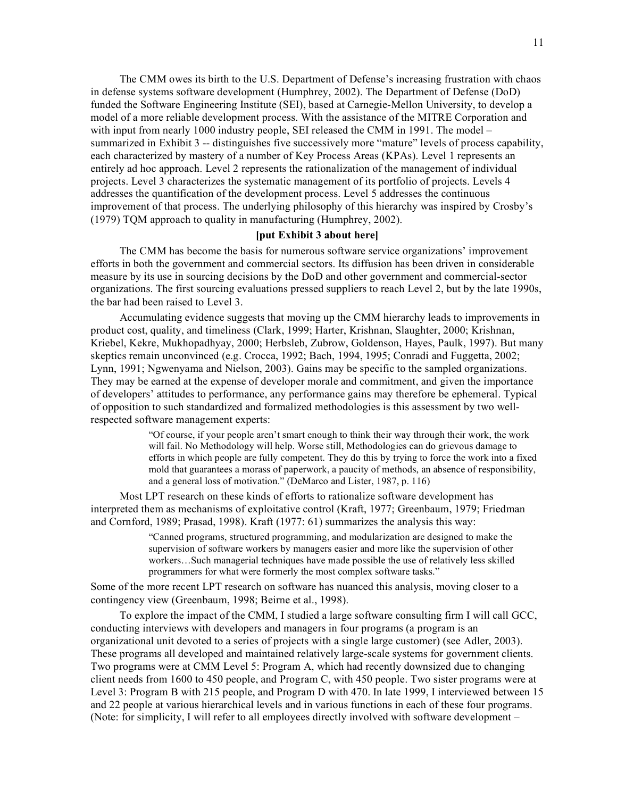The CMM owes its birth to the U.S. Department of Defense's increasing frustration with chaos in defense systems software development (Humphrey, 2002). The Department of Defense (DoD) funded the Software Engineering Institute (SEI), based at Carnegie-Mellon University, to develop a model of a more reliable development process. With the assistance of the MITRE Corporation and with input from nearly 1000 industry people, SEI released the CMM in 1991. The model – summarized in Exhibit 3 -- distinguishes five successively more "mature" levels of process capability, each characterized by mastery of a number of Key Process Areas (KPAs). Level 1 represents an entirely ad hoc approach. Level 2 represents the rationalization of the management of individual projects. Level 3 characterizes the systematic management of its portfolio of projects. Levels 4 addresses the quantification of the development process. Level 5 addresses the continuous improvement of that process. The underlying philosophy of this hierarchy was inspired by Crosby's (1979) TQM approach to quality in manufacturing (Humphrey, 2002).

## **[put Exhibit 3 about here]**

The CMM has become the basis for numerous software service organizations' improvement efforts in both the government and commercial sectors. Its diffusion has been driven in considerable measure by its use in sourcing decisions by the DoD and other government and commercial-sector organizations. The first sourcing evaluations pressed suppliers to reach Level 2, but by the late 1990s, the bar had been raised to Level 3.

Accumulating evidence suggests that moving up the CMM hierarchy leads to improvements in product cost, quality, and timeliness (Clark, 1999; Harter, Krishnan, Slaughter, 2000; Krishnan, Kriebel, Kekre, Mukhopadhyay, 2000; Herbsleb, Zubrow, Goldenson, Hayes, Paulk, 1997). But many skeptics remain unconvinced (e.g. Crocca, 1992; Bach, 1994, 1995; Conradi and Fuggetta, 2002; Lynn, 1991; Ngwenyama and Nielson, 2003). Gains may be specific to the sampled organizations. They may be earned at the expense of developer morale and commitment, and given the importance of developers' attitudes to performance, any performance gains may therefore be ephemeral. Typical of opposition to such standardized and formalized methodologies is this assessment by two wellrespected software management experts:

> "Of course, if your people aren't smart enough to think their way through their work, the work will fail. No Methodology will help. Worse still, Methodologies can do grievous damage to efforts in which people are fully competent. They do this by trying to force the work into a fixed mold that guarantees a morass of paperwork, a paucity of methods, an absence of responsibility, and a general loss of motivation." (DeMarco and Lister, 1987, p. 116)

Most LPT research on these kinds of efforts to rationalize software development has interpreted them as mechanisms of exploitative control (Kraft, 1977; Greenbaum, 1979; Friedman and Cornford, 1989; Prasad, 1998). Kraft (1977: 61) summarizes the analysis this way:

> "Canned programs, structured programming, and modularization are designed to make the supervision of software workers by managers easier and more like the supervision of other workers…Such managerial techniques have made possible the use of relatively less skilled programmers for what were formerly the most complex software tasks."

Some of the more recent LPT research on software has nuanced this analysis, moving closer to a contingency view (Greenbaum, 1998; Beirne et al., 1998).

To explore the impact of the CMM, I studied a large software consulting firm I will call GCC, conducting interviews with developers and managers in four programs (a program is an organizational unit devoted to a series of projects with a single large customer) (see Adler, 2003). These programs all developed and maintained relatively large-scale systems for government clients. Two programs were at CMM Level 5: Program A, which had recently downsized due to changing client needs from 1600 to 450 people, and Program C, with 450 people. Two sister programs were at Level 3: Program B with 215 people, and Program D with 470. In late 1999, I interviewed between 15 and 22 people at various hierarchical levels and in various functions in each of these four programs. (Note: for simplicity, I will refer to all employees directly involved with software development –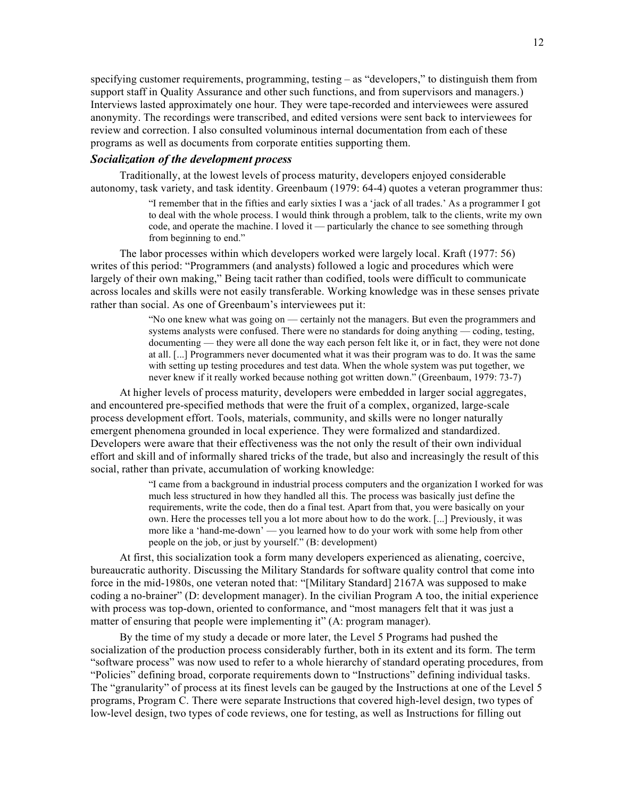specifying customer requirements, programming, testing – as "developers," to distinguish them from support staff in Quality Assurance and other such functions, and from supervisors and managers.) Interviews lasted approximately one hour. They were tape-recorded and interviewees were assured anonymity. The recordings were transcribed, and edited versions were sent back to interviewees for review and correction. I also consulted voluminous internal documentation from each of these programs as well as documents from corporate entities supporting them.

#### *Socialization of the development process*

Traditionally, at the lowest levels of process maturity, developers enjoyed considerable autonomy, task variety, and task identity. Greenbaum (1979: 64-4) quotes a veteran programmer thus:

> "I remember that in the fifties and early sixties I was a 'jack of all trades.' As a programmer I got to deal with the whole process. I would think through a problem, talk to the clients, write my own code, and operate the machine. I loved it — particularly the chance to see something through from beginning to end."

The labor processes within which developers worked were largely local. Kraft (1977: 56) writes of this period: "Programmers (and analysts) followed a logic and procedures which were largely of their own making," Being tacit rather than codified, tools were difficult to communicate across locales and skills were not easily transferable. Working knowledge was in these senses private rather than social. As one of Greenbaum's interviewees put it:

> "No one knew what was going on — certainly not the managers. But even the programmers and systems analysts were confused. There were no standards for doing anything — coding, testing, documenting — they were all done the way each person felt like it, or in fact, they were not done at all. [...] Programmers never documented what it was their program was to do. It was the same with setting up testing procedures and test data. When the whole system was put together, we never knew if it really worked because nothing got written down." (Greenbaum, 1979: 73-7)

At higher levels of process maturity, developers were embedded in larger social aggregates, and encountered pre-specified methods that were the fruit of a complex, organized, large-scale process development effort. Tools, materials, community, and skills were no longer naturally emergent phenomena grounded in local experience. They were formalized and standardized. Developers were aware that their effectiveness was the not only the result of their own individual effort and skill and of informally shared tricks of the trade, but also and increasingly the result of this social, rather than private, accumulation of working knowledge:

> "I came from a background in industrial process computers and the organization I worked for was much less structured in how they handled all this. The process was basically just define the requirements, write the code, then do a final test. Apart from that, you were basically on your own. Here the processes tell you a lot more about how to do the work. [...] Previously, it was more like a 'hand-me-down' — you learned how to do your work with some help from other people on the job, or just by yourself." (B: development)

At first, this socialization took a form many developers experienced as alienating, coercive, bureaucratic authority. Discussing the Military Standards for software quality control that come into force in the mid-1980s, one veteran noted that: "[Military Standard] 2167A was supposed to make coding a no-brainer" (D: development manager). In the civilian Program A too, the initial experience with process was top-down, oriented to conformance, and "most managers felt that it was just a matter of ensuring that people were implementing it" (A: program manager).

By the time of my study a decade or more later, the Level 5 Programs had pushed the socialization of the production process considerably further, both in its extent and its form. The term "software process" was now used to refer to a whole hierarchy of standard operating procedures, from "Policies" defining broad, corporate requirements down to "Instructions" defining individual tasks. The "granularity" of process at its finest levels can be gauged by the Instructions at one of the Level 5 programs, Program C. There were separate Instructions that covered high-level design, two types of low-level design, two types of code reviews, one for testing, as well as Instructions for filling out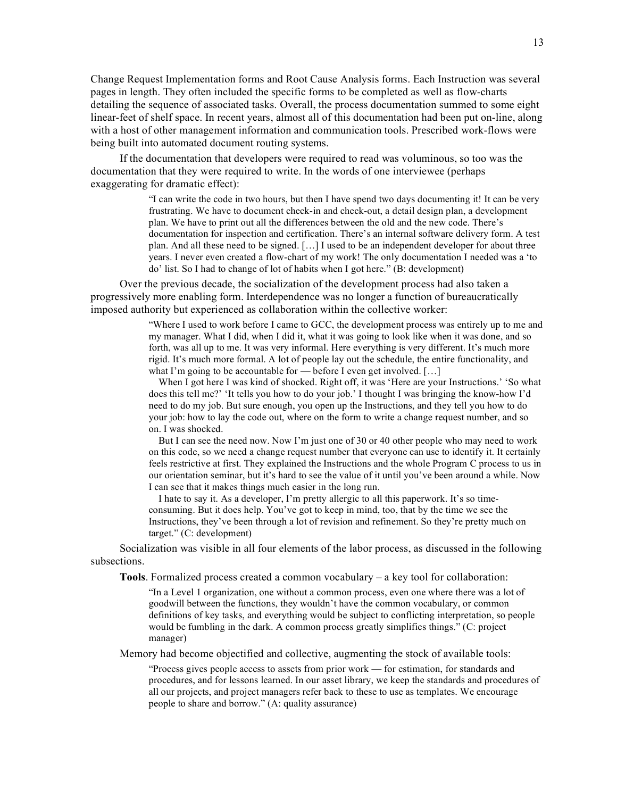Change Request Implementation forms and Root Cause Analysis forms. Each Instruction was several pages in length. They often included the specific forms to be completed as well as flow-charts detailing the sequence of associated tasks. Overall, the process documentation summed to some eight linear-feet of shelf space. In recent years, almost all of this documentation had been put on-line, along with a host of other management information and communication tools. Prescribed work-flows were being built into automated document routing systems.

If the documentation that developers were required to read was voluminous, so too was the documentation that they were required to write. In the words of one interviewee (perhaps exaggerating for dramatic effect):

> "I can write the code in two hours, but then I have spend two days documenting it! It can be very frustrating. We have to document check-in and check-out, a detail design plan, a development plan. We have to print out all the differences between the old and the new code. There's documentation for inspection and certification. There's an internal software delivery form. A test plan. And all these need to be signed. […] I used to be an independent developer for about three years. I never even created a flow-chart of my work! The only documentation I needed was a 'to do' list. So I had to change of lot of habits when I got here." (B: development)

Over the previous decade, the socialization of the development process had also taken a progressively more enabling form. Interdependence was no longer a function of bureaucratically imposed authority but experienced as collaboration within the collective worker:

> "Where I used to work before I came to GCC, the development process was entirely up to me and my manager. What I did, when I did it, what it was going to look like when it was done, and so forth, was all up to me. It was very informal. Here everything is very different. It's much more rigid. It's much more formal. A lot of people lay out the schedule, the entire functionality, and what I'm going to be accountable for — before I even get involved. [...]

> When I got here I was kind of shocked. Right off, it was 'Here are your Instructions.' 'So what does this tell me?' 'It tells you how to do your job.' I thought I was bringing the know-how I'd need to do my job. But sure enough, you open up the Instructions, and they tell you how to do your job: how to lay the code out, where on the form to write a change request number, and so on. I was shocked.

> But I can see the need now. Now I'm just one of 30 or 40 other people who may need to work on this code, so we need a change request number that everyone can use to identify it. It certainly feels restrictive at first. They explained the Instructions and the whole Program C process to us in our orientation seminar, but it's hard to see the value of it until you've been around a while. Now I can see that it makes things much easier in the long run.

I hate to say it. As a developer, I'm pretty allergic to all this paperwork. It's so timeconsuming. But it does help. You've got to keep in mind, too, that by the time we see the Instructions, they've been through a lot of revision and refinement. So they're pretty much on target." (C: development)

Socialization was visible in all four elements of the labor process, as discussed in the following subsections.

**Tools**. Formalized process created a common vocabulary – a key tool for collaboration:

"In a Level 1 organization, one without a common process, even one where there was a lot of goodwill between the functions, they wouldn't have the common vocabulary, or common definitions of key tasks, and everything would be subject to conflicting interpretation, so people would be fumbling in the dark. A common process greatly simplifies things." (C: project manager)

Memory had become objectified and collective, augmenting the stock of available tools:

"Process gives people access to assets from prior work — for estimation, for standards and procedures, and for lessons learned. In our asset library, we keep the standards and procedures of all our projects, and project managers refer back to these to use as templates. We encourage people to share and borrow." (A: quality assurance)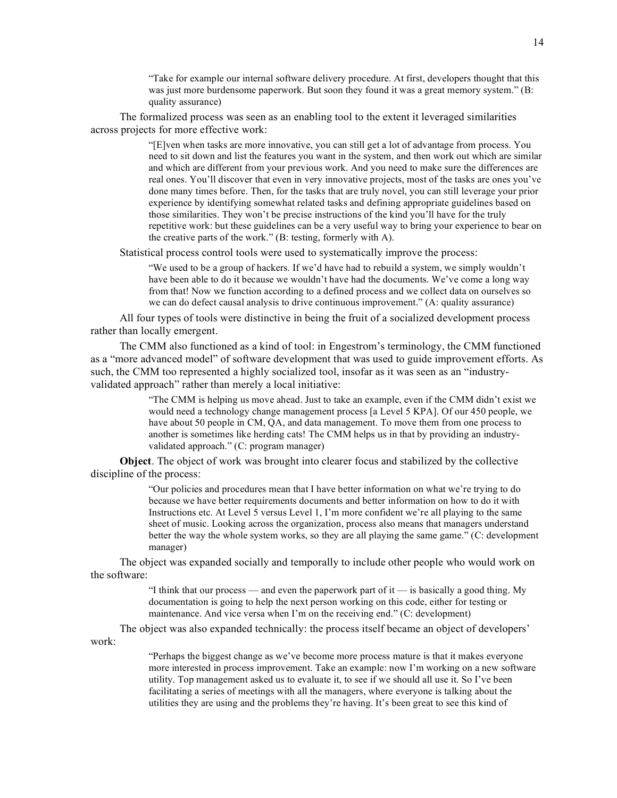"Take for example our internal software delivery procedure. At first, developers thought that this was just more burdensome paperwork. But soon they found it was a great memory system." (B: quality assurance)

The formalized process was seen as an enabling tool to the extent it leveraged similarities across projects for more effective work:

> "[E]ven when tasks are more innovative, you can still get a lot of advantage from process. You need to sit down and list the features you want in the system, and then work out which are similar and which are different from your previous work. And you need to make sure the differences are real ones. You'll discover that even in very innovative projects, most of the tasks are ones you've done many times before. Then, for the tasks that are truly novel, you can still leverage your prior experience by identifying somewhat related tasks and defining appropriate guidelines based on those similarities. They won't be precise instructions of the kind you'll have for the truly repetitive work: but these guidelines can be a very useful way to bring your experience to bear on the creative parts of the work." (B: testing, formerly with A).

Statistical process control tools were used to systematically improve the process:

"We used to be a group of hackers. If we'd have had to rebuild a system, we simply wouldn't have been able to do it because we wouldn't have had the documents. We've come a long way from that! Now we function according to a defined process and we collect data on ourselves so we can do defect causal analysis to drive continuous improvement." (A: quality assurance)

All four types of tools were distinctive in being the fruit of a socialized development process rather than locally emergent.

The CMM also functioned as a kind of tool: in Engestrom's terminology, the CMM functioned as a "more advanced model" of software development that was used to guide improvement efforts. As such, the CMM too represented a highly socialized tool, insofar as it was seen as an "industryvalidated approach" rather than merely a local initiative:

> "The CMM is helping us move ahead. Just to take an example, even if the CMM didn't exist we would need a technology change management process [a Level 5 KPA]. Of our 450 people, we have about 50 people in CM, QA, and data management. To move them from one process to another is sometimes like herding cats! The CMM helps us in that by providing an industryvalidated approach." (C: program manager)

**Object**. The object of work was brought into clearer focus and stabilized by the collective discipline of the process:

> "Our policies and procedures mean that I have better information on what we're trying to do because we have better requirements documents and better information on how to do it with Instructions etc. At Level 5 versus Level 1, I'm more confident we're all playing to the same sheet of music. Looking across the organization, process also means that managers understand better the way the whole system works, so they are all playing the same game." (C: development manager)

The object was expanded socially and temporally to include other people who would work on the software:

> "I think that our process — and even the paperwork part of it — is basically a good thing. My documentation is going to help the next person working on this code, either for testing or maintenance. And vice versa when I'm on the receiving end." (C: development)

The object was also expanded technically: the process itself became an object of developers' work:

> "Perhaps the biggest change as we've become more process mature is that it makes everyone more interested in process improvement. Take an example: now I'm working on a new software utility. Top management asked us to evaluate it, to see if we should all use it. So I've been facilitating a series of meetings with all the managers, where everyone is talking about the utilities they are using and the problems they're having. It's been great to see this kind of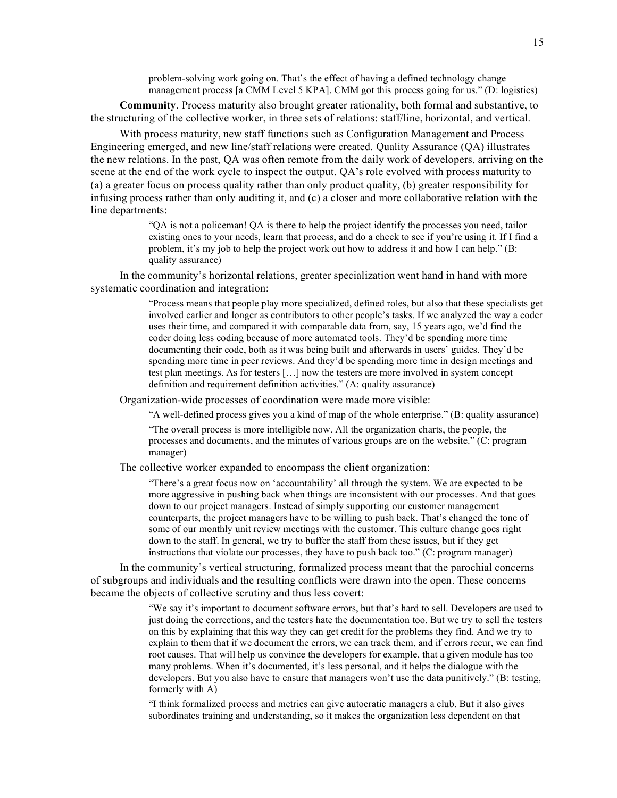problem-solving work going on. That's the effect of having a defined technology change management process [a CMM Level 5 KPA]. CMM got this process going for us." (D: logistics)

**Community**. Process maturity also brought greater rationality, both formal and substantive, to the structuring of the collective worker, in three sets of relations: staff/line, horizontal, and vertical.

With process maturity, new staff functions such as Configuration Management and Process Engineering emerged, and new line/staff relations were created. Quality Assurance (QA) illustrates the new relations. In the past, QA was often remote from the daily work of developers, arriving on the scene at the end of the work cycle to inspect the output. QA's role evolved with process maturity to (a) a greater focus on process quality rather than only product quality, (b) greater responsibility for infusing process rather than only auditing it, and (c) a closer and more collaborative relation with the line departments:

> "QA is not a policeman! QA is there to help the project identify the processes you need, tailor existing ones to your needs, learn that process, and do a check to see if you're using it. If I find a problem, it's my job to help the project work out how to address it and how I can help." (B: quality assurance)

In the community's horizontal relations, greater specialization went hand in hand with more systematic coordination and integration:

> "Process means that people play more specialized, defined roles, but also that these specialists get involved earlier and longer as contributors to other people's tasks. If we analyzed the way a coder uses their time, and compared it with comparable data from, say, 15 years ago, we'd find the coder doing less coding because of more automated tools. They'd be spending more time documenting their code, both as it was being built and afterwards in users' guides. They'd be spending more time in peer reviews. And they'd be spending more time in design meetings and test plan meetings. As for testers […] now the testers are more involved in system concept definition and requirement definition activities." (A: quality assurance)

Organization-wide processes of coordination were made more visible:

"A well-defined process gives you a kind of map of the whole enterprise." (B: quality assurance)

"The overall process is more intelligible now. All the organization charts, the people, the processes and documents, and the minutes of various groups are on the website." (C: program manager)

The collective worker expanded to encompass the client organization:

"There's a great focus now on 'accountability' all through the system. We are expected to be more aggressive in pushing back when things are inconsistent with our processes. And that goes down to our project managers. Instead of simply supporting our customer management counterparts, the project managers have to be willing to push back. That's changed the tone of some of our monthly unit review meetings with the customer. This culture change goes right down to the staff. In general, we try to buffer the staff from these issues, but if they get instructions that violate our processes, they have to push back too." (C: program manager)

In the community's vertical structuring, formalized process meant that the parochial concerns of subgroups and individuals and the resulting conflicts were drawn into the open. These concerns became the objects of collective scrutiny and thus less covert:

> "We say it's important to document software errors, but that's hard to sell. Developers are used to just doing the corrections, and the testers hate the documentation too. But we try to sell the testers on this by explaining that this way they can get credit for the problems they find. And we try to explain to them that if we document the errors, we can track them, and if errors recur, we can find root causes. That will help us convince the developers for example, that a given module has too many problems. When it's documented, it's less personal, and it helps the dialogue with the developers. But you also have to ensure that managers won't use the data punitively." (B: testing, formerly with A)

"I think formalized process and metrics can give autocratic managers a club. But it also gives subordinates training and understanding, so it makes the organization less dependent on that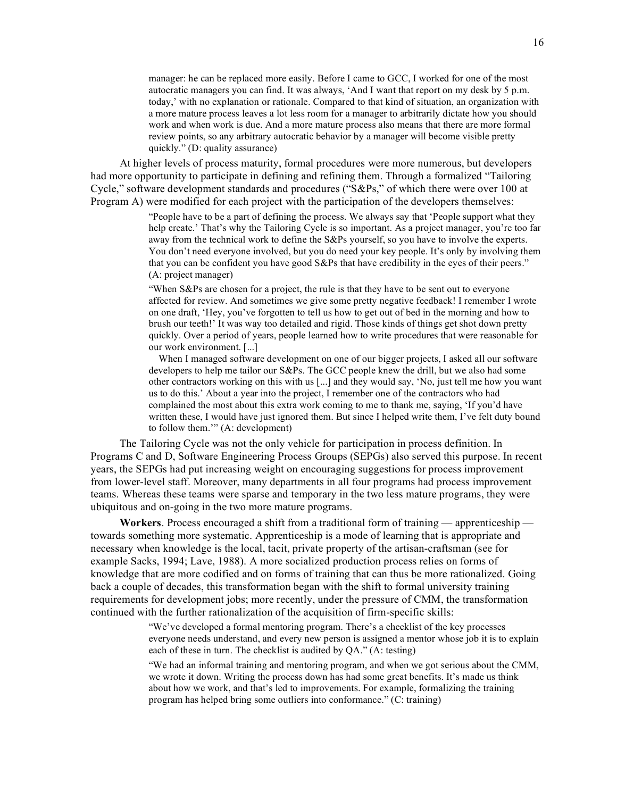manager: he can be replaced more easily. Before I came to GCC, I worked for one of the most autocratic managers you can find. It was always, 'And I want that report on my desk by 5 p.m. today,' with no explanation or rationale. Compared to that kind of situation, an organization with a more mature process leaves a lot less room for a manager to arbitrarily dictate how you should work and when work is due. And a more mature process also means that there are more formal review points, so any arbitrary autocratic behavior by a manager will become visible pretty quickly." (D: quality assurance)

At higher levels of process maturity, formal procedures were more numerous, but developers had more opportunity to participate in defining and refining them. Through a formalized "Tailoring Cycle," software development standards and procedures ("S&Ps," of which there were over 100 at Program A) were modified for each project with the participation of the developers themselves:

> "People have to be a part of defining the process. We always say that 'People support what they help create.' That's why the Tailoring Cycle is so important. As a project manager, you're too far away from the technical work to define the S&Ps yourself, so you have to involve the experts. You don't need everyone involved, but you do need your key people. It's only by involving them that you can be confident you have good S&Ps that have credibility in the eyes of their peers." (A: project manager)

> "When S&Ps are chosen for a project, the rule is that they have to be sent out to everyone affected for review. And sometimes we give some pretty negative feedback! I remember I wrote on one draft, 'Hey, you've forgotten to tell us how to get out of bed in the morning and how to brush our teeth!' It was way too detailed and rigid. Those kinds of things get shot down pretty quickly. Over a period of years, people learned how to write procedures that were reasonable for our work environment. [...]

> When I managed software development on one of our bigger projects, I asked all our software developers to help me tailor our S&Ps. The GCC people knew the drill, but we also had some other contractors working on this with us [...] and they would say, 'No, just tell me how you want us to do this.' About a year into the project, I remember one of the contractors who had complained the most about this extra work coming to me to thank me, saying, 'If you'd have written these, I would have just ignored them. But since I helped write them, I've felt duty bound to follow them.'" (A: development)

The Tailoring Cycle was not the only vehicle for participation in process definition. In Programs C and D, Software Engineering Process Groups (SEPGs) also served this purpose. In recent years, the SEPGs had put increasing weight on encouraging suggestions for process improvement from lower-level staff. Moreover, many departments in all four programs had process improvement teams. Whereas these teams were sparse and temporary in the two less mature programs, they were ubiquitous and on-going in the two more mature programs.

**Workers**. Process encouraged a shift from a traditional form of training — apprenticeship towards something more systematic. Apprenticeship is a mode of learning that is appropriate and necessary when knowledge is the local, tacit, private property of the artisan-craftsman (see for example Sacks, 1994; Lave, 1988). A more socialized production process relies on forms of knowledge that are more codified and on forms of training that can thus be more rationalized. Going back a couple of decades, this transformation began with the shift to formal university training requirements for development jobs; more recently, under the pressure of CMM, the transformation continued with the further rationalization of the acquisition of firm-specific skills:

> "We've developed a formal mentoring program. There's a checklist of the key processes everyone needs understand, and every new person is assigned a mentor whose job it is to explain each of these in turn. The checklist is audited by QA." (A: testing)

> "We had an informal training and mentoring program, and when we got serious about the CMM, we wrote it down. Writing the process down has had some great benefits. It's made us think about how we work, and that's led to improvements. For example, formalizing the training program has helped bring some outliers into conformance." (C: training)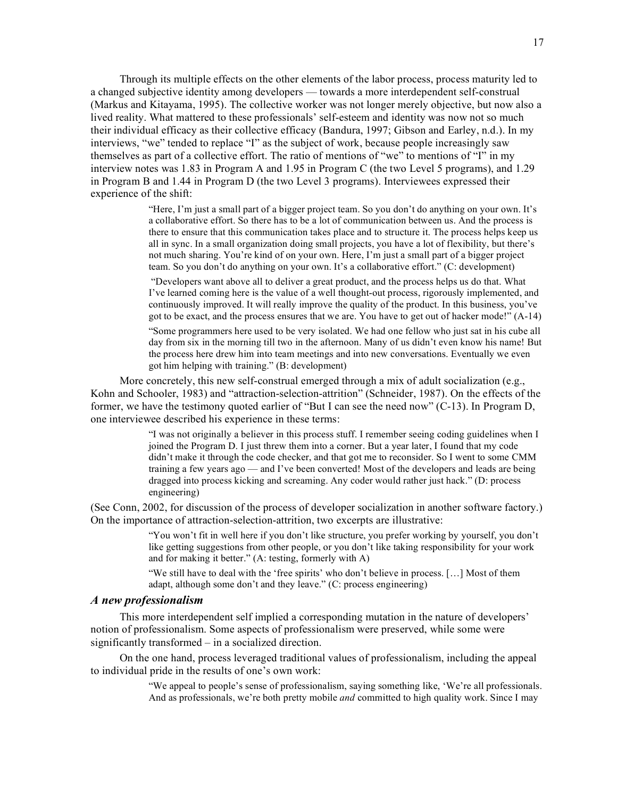Through its multiple effects on the other elements of the labor process, process maturity led to a changed subjective identity among developers — towards a more interdependent self-construal (Markus and Kitayama, 1995). The collective worker was not longer merely objective, but now also a lived reality. What mattered to these professionals' self-esteem and identity was now not so much their individual efficacy as their collective efficacy (Bandura, 1997; Gibson and Earley, n.d.). In my interviews, "we" tended to replace "I" as the subject of work, because people increasingly saw themselves as part of a collective effort. The ratio of mentions of "we" to mentions of "I" in my interview notes was 1.83 in Program A and 1.95 in Program C (the two Level 5 programs), and 1.29 in Program B and 1.44 in Program D (the two Level 3 programs). Interviewees expressed their experience of the shift:

> "Here, I'm just a small part of a bigger project team. So you don't do anything on your own. It's a collaborative effort. So there has to be a lot of communication between us. And the process is there to ensure that this communication takes place and to structure it. The process helps keep us all in sync. In a small organization doing small projects, you have a lot of flexibility, but there's not much sharing. You're kind of on your own. Here, I'm just a small part of a bigger project team. So you don't do anything on your own. It's a collaborative effort." (C: development)

> "Developers want above all to deliver a great product, and the process helps us do that. What I've learned coming here is the value of a well thought-out process, rigorously implemented, and continuously improved. It will really improve the quality of the product. In this business, you've got to be exact, and the process ensures that we are. You have to get out of hacker mode!" (A-14) "Some programmers here used to be very isolated. We had one fellow who just sat in his cube all day from six in the morning till two in the afternoon. Many of us didn't even know his name! But the process here drew him into team meetings and into new conversations. Eventually we even got him helping with training." (B: development)

More concretely, this new self-construal emerged through a mix of adult socialization (e.g., Kohn and Schooler, 1983) and "attraction-selection-attrition" (Schneider, 1987). On the effects of the former, we have the testimony quoted earlier of "But I can see the need now" (C-13). In Program D, one interviewee described his experience in these terms:

> "I was not originally a believer in this process stuff. I remember seeing coding guidelines when I joined the Program D. I just threw them into a corner. But a year later, I found that my code didn't make it through the code checker, and that got me to reconsider. So I went to some CMM training a few years ago — and I've been converted! Most of the developers and leads are being dragged into process kicking and screaming. Any coder would rather just hack." (D: process engineering)

(See Conn, 2002, for discussion of the process of developer socialization in another software factory.) On the importance of attraction-selection-attrition, two excerpts are illustrative:

> "You won't fit in well here if you don't like structure, you prefer working by yourself, you don't like getting suggestions from other people, or you don't like taking responsibility for your work and for making it better." (A: testing, formerly with A)

"We still have to deal with the 'free spirits' who don't believe in process. […] Most of them adapt, although some don't and they leave." (C: process engineering)

## *A new professionalism*

This more interdependent self implied a corresponding mutation in the nature of developers' notion of professionalism. Some aspects of professionalism were preserved, while some were significantly transformed – in a socialized direction.

On the one hand, process leveraged traditional values of professionalism, including the appeal to individual pride in the results of one's own work:

> "We appeal to people's sense of professionalism, saying something like, 'We're all professionals. And as professionals, we're both pretty mobile *and* committed to high quality work. Since I may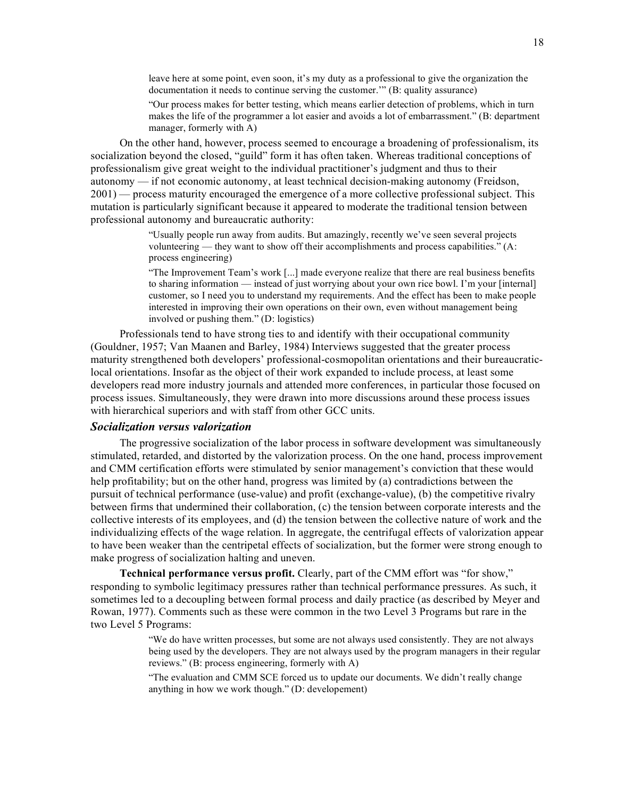leave here at some point, even soon, it's my duty as a professional to give the organization the documentation it needs to continue serving the customer.'" (B: quality assurance)

"Our process makes for better testing, which means earlier detection of problems, which in turn makes the life of the programmer a lot easier and avoids a lot of embarrassment." (B: department manager, formerly with A)

On the other hand, however, process seemed to encourage a broadening of professionalism, its socialization beyond the closed, "guild" form it has often taken. Whereas traditional conceptions of professionalism give great weight to the individual practitioner's judgment and thus to their autonomy — if not economic autonomy, at least technical decision-making autonomy (Freidson, 2001) — process maturity encouraged the emergence of a more collective professional subject. This mutation is particularly significant because it appeared to moderate the traditional tension between professional autonomy and bureaucratic authority:

> "Usually people run away from audits. But amazingly, recently we've seen several projects volunteering — they want to show off their accomplishments and process capabilities."  $(A:$ process engineering)

"The Improvement Team's work [...] made everyone realize that there are real business benefits to sharing information — instead of just worrying about your own rice bowl. I'm your [internal] customer, so I need you to understand my requirements. And the effect has been to make people interested in improving their own operations on their own, even without management being involved or pushing them." (D: logistics)

Professionals tend to have strong ties to and identify with their occupational community (Gouldner, 1957; Van Maanen and Barley, 1984) Interviews suggested that the greater process maturity strengthened both developers' professional-cosmopolitan orientations and their bureaucraticlocal orientations. Insofar as the object of their work expanded to include process, at least some developers read more industry journals and attended more conferences, in particular those focused on process issues. Simultaneously, they were drawn into more discussions around these process issues with hierarchical superiors and with staff from other GCC units.

## *Socialization versus valorization*

The progressive socialization of the labor process in software development was simultaneously stimulated, retarded, and distorted by the valorization process. On the one hand, process improvement and CMM certification efforts were stimulated by senior management's conviction that these would help profitability; but on the other hand, progress was limited by (a) contradictions between the pursuit of technical performance (use-value) and profit (exchange-value), (b) the competitive rivalry between firms that undermined their collaboration, (c) the tension between corporate interests and the collective interests of its employees, and (d) the tension between the collective nature of work and the individualizing effects of the wage relation. In aggregate, the centrifugal effects of valorization appear to have been weaker than the centripetal effects of socialization, but the former were strong enough to make progress of socialization halting and uneven.

**Technical performance versus profit.** Clearly, part of the CMM effort was "for show," responding to symbolic legitimacy pressures rather than technical performance pressures. As such, it sometimes led to a decoupling between formal process and daily practice (as described by Meyer and Rowan, 1977). Comments such as these were common in the two Level 3 Programs but rare in the two Level 5 Programs:

> "We do have written processes, but some are not always used consistently. They are not always being used by the developers. They are not always used by the program managers in their regular reviews." (B: process engineering, formerly with A)

"The evaluation and CMM SCE forced us to update our documents. We didn't really change anything in how we work though." (D: developement)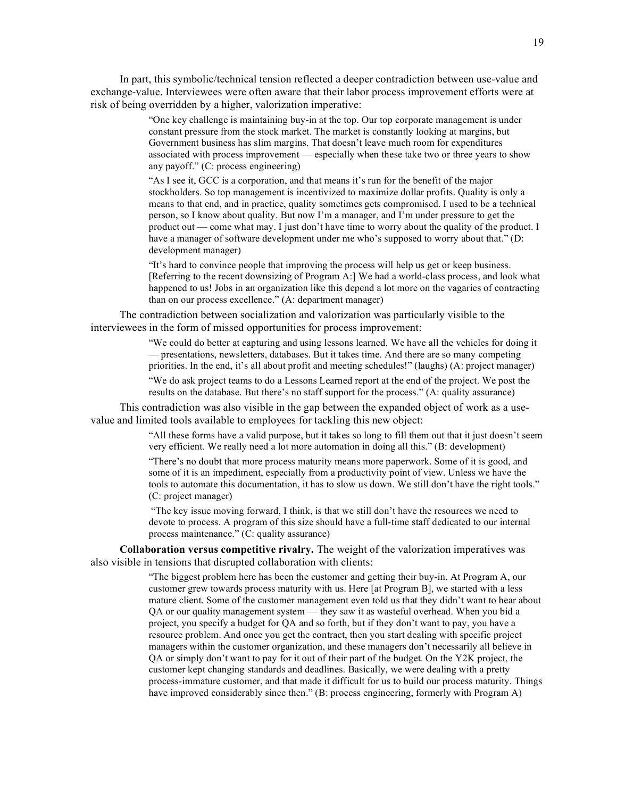In part, this symbolic/technical tension reflected a deeper contradiction between use-value and exchange-value. Interviewees were often aware that their labor process improvement efforts were at risk of being overridden by a higher, valorization imperative:

> "One key challenge is maintaining buy-in at the top. Our top corporate management is under constant pressure from the stock market. The market is constantly looking at margins, but Government business has slim margins. That doesn't leave much room for expenditures associated with process improvement — especially when these take two or three years to show any payoff." (C: process engineering)

"As I see it, GCC is a corporation, and that means it's run for the benefit of the major stockholders. So top management is incentivized to maximize dollar profits. Quality is only a means to that end, and in practice, quality sometimes gets compromised. I used to be a technical person, so I know about quality. But now I'm a manager, and I'm under pressure to get the product out — come what may. I just don't have time to worry about the quality of the product. I have a manager of software development under me who's supposed to worry about that." (D: development manager)

"It's hard to convince people that improving the process will help us get or keep business. [Referring to the recent downsizing of Program A:] We had a world-class process, and look what happened to us! Jobs in an organization like this depend a lot more on the vagaries of contracting than on our process excellence." (A: department manager)

The contradiction between socialization and valorization was particularly visible to the interviewees in the form of missed opportunities for process improvement:

> "We could do better at capturing and using lessons learned. We have all the vehicles for doing it — presentations, newsletters, databases. But it takes time. And there are so many competing priorities. In the end, it's all about profit and meeting schedules!" (laughs) (A: project manager)

"We do ask project teams to do a Lessons Learned report at the end of the project. We post the results on the database. But there's no staff support for the process." (A: quality assurance)

This contradiction was also visible in the gap between the expanded object of work as a usevalue and limited tools available to employees for tackling this new object:

> "All these forms have a valid purpose, but it takes so long to fill them out that it just doesn't seem very efficient. We really need a lot more automation in doing all this." (B: development)

> "There's no doubt that more process maturity means more paperwork. Some of it is good, and some of it is an impediment, especially from a productivity point of view. Unless we have the tools to automate this documentation, it has to slow us down. We still don't have the right tools." (C: project manager)

"The key issue moving forward, I think, is that we still don't have the resources we need to devote to process. A program of this size should have a full-time staff dedicated to our internal process maintenance." (C: quality assurance)

**Collaboration versus competitive rivalry.** The weight of the valorization imperatives was also visible in tensions that disrupted collaboration with clients:

> "The biggest problem here has been the customer and getting their buy-in. At Program A, our customer grew towards process maturity with us. Here [at Program B], we started with a less mature client. Some of the customer management even told us that they didn't want to hear about QA or our quality management system — they saw it as wasteful overhead. When you bid a project, you specify a budget for QA and so forth, but if they don't want to pay, you have a resource problem. And once you get the contract, then you start dealing with specific project managers within the customer organization, and these managers don't necessarily all believe in QA or simply don't want to pay for it out of their part of the budget. On the Y2K project, the customer kept changing standards and deadlines. Basically, we were dealing with a pretty process-immature customer, and that made it difficult for us to build our process maturity. Things have improved considerably since then." (B: process engineering, formerly with Program A)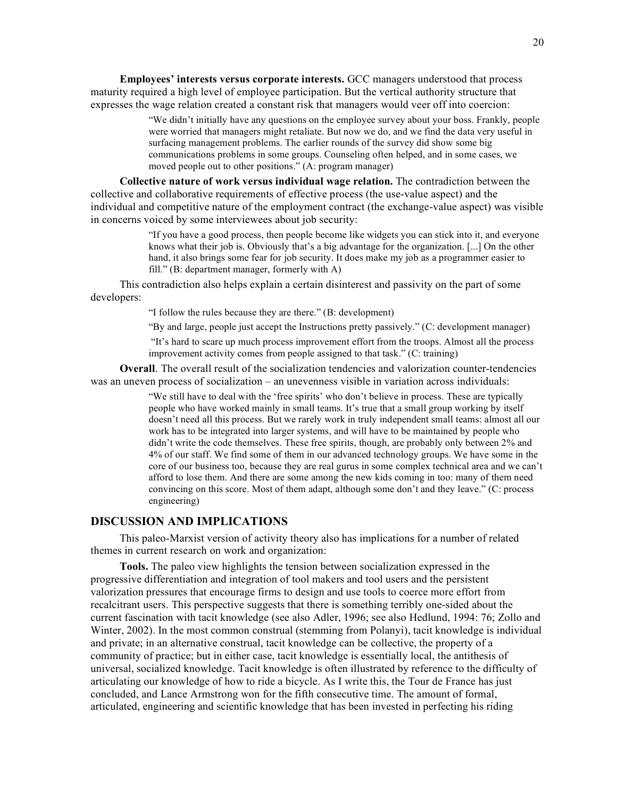**Employees' interests versus corporate interests.** GCC managers understood that process maturity required a high level of employee participation. But the vertical authority structure that expresses the wage relation created a constant risk that managers would veer off into coercion:

> "We didn't initially have any questions on the employee survey about your boss. Frankly, people were worried that managers might retaliate. But now we do, and we find the data very useful in surfacing management problems. The earlier rounds of the survey did show some big communications problems in some groups. Counseling often helped, and in some cases, we moved people out to other positions." (A: program manager)

**Collective nature of work versus individual wage relation.** The contradiction between the collective and collaborative requirements of effective process (the use-value aspect) and the individual and competitive nature of the employment contract (the exchange-value aspect) was visible in concerns voiced by some interviewees about job security:

> "If you have a good process, then people become like widgets you can stick into it, and everyone knows what their job is. Obviously that's a big advantage for the organization. [...] On the other hand, it also brings some fear for job security. It does make my job as a programmer easier to fill." (B: department manager, formerly with A)

This contradiction also helps explain a certain disinterest and passivity on the part of some developers:

"I follow the rules because they are there." (B: development)

"By and large, people just accept the Instructions pretty passively." (C: development manager)

"It's hard to scare up much process improvement effort from the troops. Almost all the process improvement activity comes from people assigned to that task." (C: training)

**Overall.** The overall result of the socialization tendencies and valorization counter-tendencies was an uneven process of socialization – an unevenness visible in variation across individuals:

> "We still have to deal with the 'free spirits' who don't believe in process. These are typically people who have worked mainly in small teams. It's true that a small group working by itself doesn't need all this process. But we rarely work in truly independent small teams: almost all our work has to be integrated into larger systems, and will have to be maintained by people who didn't write the code themselves. These free spirits, though, are probably only between 2% and 4% of our staff. We find some of them in our advanced technology groups. We have some in the core of our business too, because they are real gurus in some complex technical area and we can't afford to lose them. And there are some among the new kids coming in too: many of them need convincing on this score. Most of them adapt, although some don't and they leave." (C: process engineering)

#### **DISCUSSION AND IMPLICATIONS**

This paleo-Marxist version of activity theory also has implications for a number of related themes in current research on work and organization:

**Tools.** The paleo view highlights the tension between socialization expressed in the progressive differentiation and integration of tool makers and tool users and the persistent valorization pressures that encourage firms to design and use tools to coerce more effort from recalcitrant users. This perspective suggests that there is something terribly one-sided about the current fascination with tacit knowledge (see also Adler, 1996; see also Hedlund, 1994: 76; Zollo and Winter, 2002). In the most common construal (stemming from Polanyi), tacit knowledge is individual and private; in an alternative construal, tacit knowledge can be collective, the property of a community of practice; but in either case, tacit knowledge is essentially local, the antithesis of universal, socialized knowledge. Tacit knowledge is often illustrated by reference to the difficulty of articulating our knowledge of how to ride a bicycle. As I write this, the Tour de France has just concluded, and Lance Armstrong won for the fifth consecutive time. The amount of formal, articulated, engineering and scientific knowledge that has been invested in perfecting his riding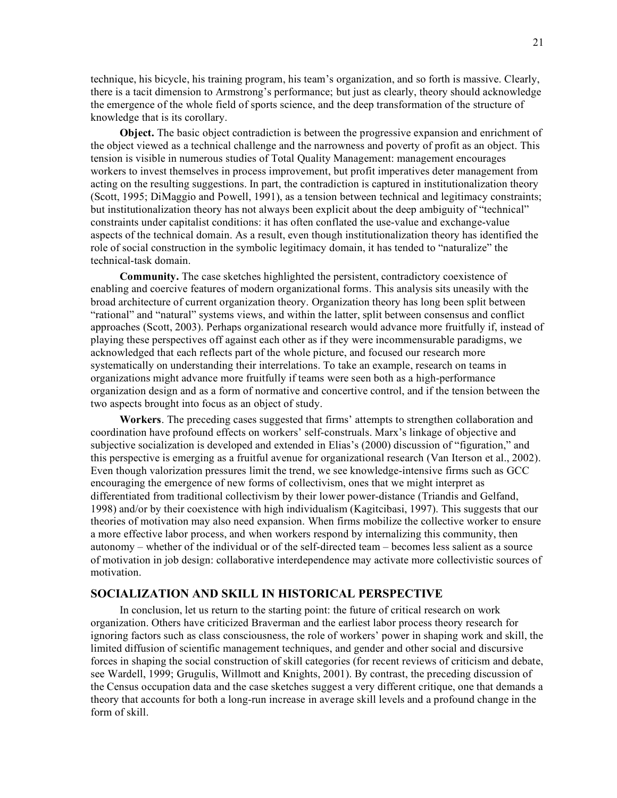technique, his bicycle, his training program, his team's organization, and so forth is massive. Clearly, there is a tacit dimension to Armstrong's performance; but just as clearly, theory should acknowledge the emergence of the whole field of sports science, and the deep transformation of the structure of knowledge that is its corollary.

**Object.** The basic object contradiction is between the progressive expansion and enrichment of the object viewed as a technical challenge and the narrowness and poverty of profit as an object. This tension is visible in numerous studies of Total Quality Management: management encourages workers to invest themselves in process improvement, but profit imperatives deter management from acting on the resulting suggestions. In part, the contradiction is captured in institutionalization theory (Scott, 1995; DiMaggio and Powell, 1991), as a tension between technical and legitimacy constraints; but institutionalization theory has not always been explicit about the deep ambiguity of "technical" constraints under capitalist conditions: it has often conflated the use-value and exchange-value aspects of the technical domain. As a result, even though institutionalization theory has identified the role of social construction in the symbolic legitimacy domain, it has tended to "naturalize" the technical-task domain.

**Community.** The case sketches highlighted the persistent, contradictory coexistence of enabling and coercive features of modern organizational forms. This analysis sits uneasily with the broad architecture of current organization theory. Organization theory has long been split between "rational" and "natural" systems views, and within the latter, split between consensus and conflict approaches (Scott, 2003). Perhaps organizational research would advance more fruitfully if, instead of playing these perspectives off against each other as if they were incommensurable paradigms, we acknowledged that each reflects part of the whole picture, and focused our research more systematically on understanding their interrelations. To take an example, research on teams in organizations might advance more fruitfully if teams were seen both as a high-performance organization design and as a form of normative and concertive control, and if the tension between the two aspects brought into focus as an object of study.

**Workers**. The preceding cases suggested that firms' attempts to strengthen collaboration and coordination have profound effects on workers' self-construals. Marx's linkage of objective and subjective socialization is developed and extended in Elias's (2000) discussion of "figuration," and this perspective is emerging as a fruitful avenue for organizational research (Van Iterson et al., 2002). Even though valorization pressures limit the trend, we see knowledge-intensive firms such as GCC encouraging the emergence of new forms of collectivism, ones that we might interpret as differentiated from traditional collectivism by their lower power-distance (Triandis and Gelfand, 1998) and/or by their coexistence with high individualism (Kagitcibasi, 1997). This suggests that our theories of motivation may also need expansion. When firms mobilize the collective worker to ensure a more effective labor process, and when workers respond by internalizing this community, then autonomy – whether of the individual or of the self-directed team – becomes less salient as a source of motivation in job design: collaborative interdependence may activate more collectivistic sources of motivation.

# **SOCIALIZATION AND SKILL IN HISTORICAL PERSPECTIVE**

In conclusion, let us return to the starting point: the future of critical research on work organization. Others have criticized Braverman and the earliest labor process theory research for ignoring factors such as class consciousness, the role of workers' power in shaping work and skill, the limited diffusion of scientific management techniques, and gender and other social and discursive forces in shaping the social construction of skill categories (for recent reviews of criticism and debate, see Wardell, 1999; Grugulis, Willmott and Knights, 2001). By contrast, the preceding discussion of the Census occupation data and the case sketches suggest a very different critique, one that demands a theory that accounts for both a long-run increase in average skill levels and a profound change in the form of skill.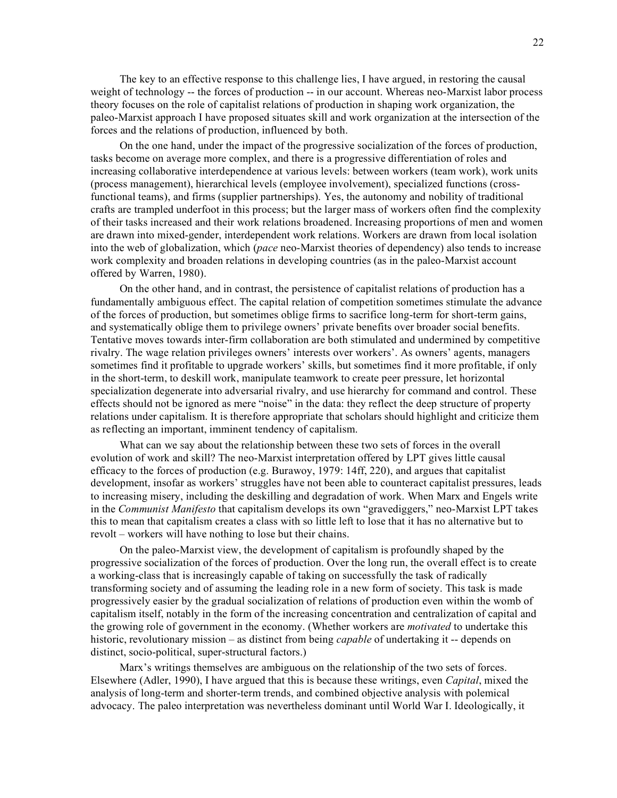The key to an effective response to this challenge lies, I have argued, in restoring the causal weight of technology -- the forces of production -- in our account. Whereas neo-Marxist labor process theory focuses on the role of capitalist relations of production in shaping work organization, the paleo-Marxist approach I have proposed situates skill and work organization at the intersection of the forces and the relations of production, influenced by both.

On the one hand, under the impact of the progressive socialization of the forces of production, tasks become on average more complex, and there is a progressive differentiation of roles and increasing collaborative interdependence at various levels: between workers (team work), work units (process management), hierarchical levels (employee involvement), specialized functions (crossfunctional teams), and firms (supplier partnerships). Yes, the autonomy and nobility of traditional crafts are trampled underfoot in this process; but the larger mass of workers often find the complexity of their tasks increased and their work relations broadened. Increasing proportions of men and women are drawn into mixed-gender, interdependent work relations. Workers are drawn from local isolation into the web of globalization, which (*pace* neo-Marxist theories of dependency) also tends to increase work complexity and broaden relations in developing countries (as in the paleo-Marxist account offered by Warren, 1980).

On the other hand, and in contrast, the persistence of capitalist relations of production has a fundamentally ambiguous effect. The capital relation of competition sometimes stimulate the advance of the forces of production, but sometimes oblige firms to sacrifice long-term for short-term gains, and systematically oblige them to privilege owners' private benefits over broader social benefits. Tentative moves towards inter-firm collaboration are both stimulated and undermined by competitive rivalry. The wage relation privileges owners' interests over workers'. As owners' agents, managers sometimes find it profitable to upgrade workers' skills, but sometimes find it more profitable, if only in the short-term, to deskill work, manipulate teamwork to create peer pressure, let horizontal specialization degenerate into adversarial rivalry, and use hierarchy for command and control. These effects should not be ignored as mere "noise" in the data: they reflect the deep structure of property relations under capitalism. It is therefore appropriate that scholars should highlight and criticize them as reflecting an important, imminent tendency of capitalism.

What can we say about the relationship between these two sets of forces in the overall evolution of work and skill? The neo-Marxist interpretation offered by LPT gives little causal efficacy to the forces of production (e.g. Burawoy, 1979: 14ff, 220), and argues that capitalist development, insofar as workers' struggles have not been able to counteract capitalist pressures, leads to increasing misery, including the deskilling and degradation of work. When Marx and Engels write in the *Communist Manifesto* that capitalism develops its own "gravediggers," neo-Marxist LPT takes this to mean that capitalism creates a class with so little left to lose that it has no alternative but to revolt – workers will have nothing to lose but their chains.

On the paleo-Marxist view, the development of capitalism is profoundly shaped by the progressive socialization of the forces of production. Over the long run, the overall effect is to create a working-class that is increasingly capable of taking on successfully the task of radically transforming society and of assuming the leading role in a new form of society. This task is made progressively easier by the gradual socialization of relations of production even within the womb of capitalism itself, notably in the form of the increasing concentration and centralization of capital and the growing role of government in the economy. (Whether workers are *motivated* to undertake this historic, revolutionary mission – as distinct from being *capable* of undertaking it -- depends on distinct, socio-political, super-structural factors.)

Marx's writings themselves are ambiguous on the relationship of the two sets of forces. Elsewhere (Adler, 1990), I have argued that this is because these writings, even *Capital*, mixed the analysis of long-term and shorter-term trends, and combined objective analysis with polemical advocacy. The paleo interpretation was nevertheless dominant until World War I. Ideologically, it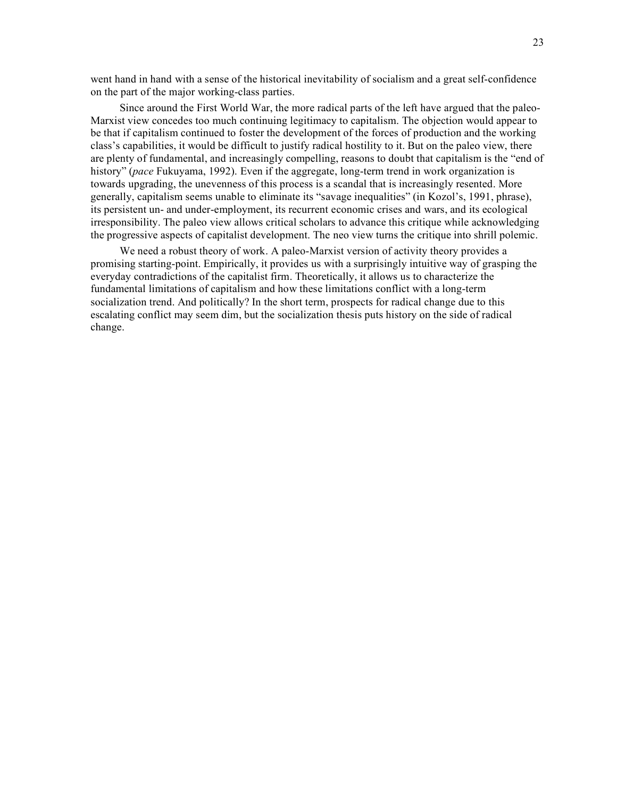went hand in hand with a sense of the historical inevitability of socialism and a great self-confidence on the part of the major working-class parties.

Since around the First World War, the more radical parts of the left have argued that the paleo-Marxist view concedes too much continuing legitimacy to capitalism. The objection would appear to be that if capitalism continued to foster the development of the forces of production and the working class's capabilities, it would be difficult to justify radical hostility to it. But on the paleo view, there are plenty of fundamental, and increasingly compelling, reasons to doubt that capitalism is the "end of history" (*pace* Fukuyama, 1992). Even if the aggregate, long-term trend in work organization is towards upgrading, the unevenness of this process is a scandal that is increasingly resented. More generally, capitalism seems unable to eliminate its "savage inequalities" (in Kozol's, 1991, phrase), its persistent un- and under-employment, its recurrent economic crises and wars, and its ecological irresponsibility. The paleo view allows critical scholars to advance this critique while acknowledging the progressive aspects of capitalist development. The neo view turns the critique into shrill polemic.

We need a robust theory of work. A paleo-Marxist version of activity theory provides a promising starting-point. Empirically, it provides us with a surprisingly intuitive way of grasping the everyday contradictions of the capitalist firm. Theoretically, it allows us to characterize the fundamental limitations of capitalism and how these limitations conflict with a long-term socialization trend. And politically? In the short term, prospects for radical change due to this escalating conflict may seem dim, but the socialization thesis puts history on the side of radical change.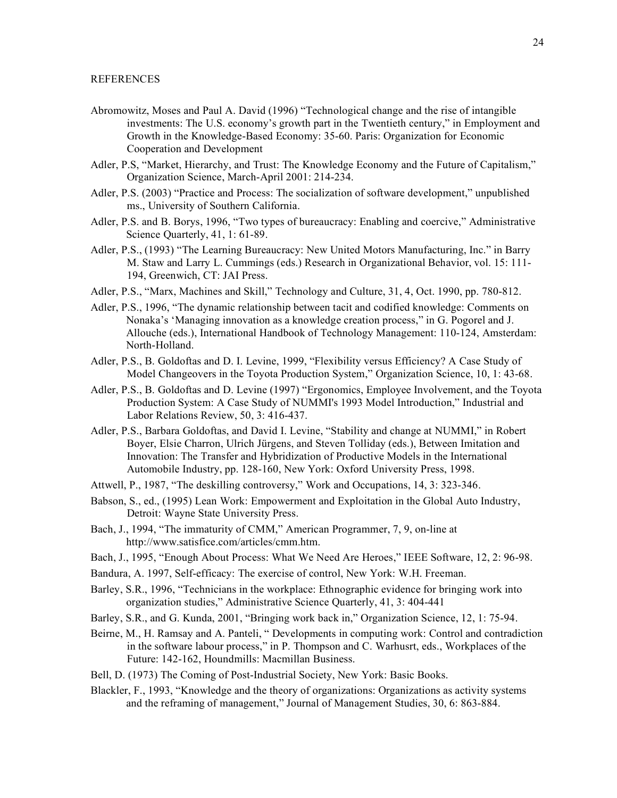- Abromowitz, Moses and Paul A. David (1996) "Technological change and the rise of intangible investments: The U.S. economy's growth part in the Twentieth century," in Employment and Growth in the Knowledge-Based Economy: 35-60. Paris: Organization for Economic Cooperation and Development
- Adler, P.S, "Market, Hierarchy, and Trust: The Knowledge Economy and the Future of Capitalism," Organization Science, March-April 2001: 214-234.
- Adler, P.S. (2003) "Practice and Process: The socialization of software development," unpublished ms., University of Southern California.
- Adler, P.S. and B. Borys, 1996, "Two types of bureaucracy: Enabling and coercive," Administrative Science Quarterly, 41, 1: 61-89.
- Adler, P.S., (1993) "The Learning Bureaucracy: New United Motors Manufacturing, Inc." in Barry M. Staw and Larry L. Cummings (eds.) Research in Organizational Behavior, vol. 15: 111- 194, Greenwich, CT: JAI Press.
- Adler, P.S., "Marx, Machines and Skill," Technology and Culture, 31, 4, Oct. 1990, pp. 780-812.
- Adler, P.S., 1996, "The dynamic relationship between tacit and codified knowledge: Comments on Nonaka's 'Managing innovation as a knowledge creation process," in G. Pogorel and J. Allouche (eds.), International Handbook of Technology Management: 110-124, Amsterdam: North-Holland.
- Adler, P.S., B. Goldoftas and D. I. Levine, 1999, "Flexibility versus Efficiency? A Case Study of Model Changeovers in the Toyota Production System," Organization Science, 10, 1: 43-68.
- Adler, P.S., B. Goldoftas and D. Levine (1997) "Ergonomics, Employee Involvement, and the Toyota Production System: A Case Study of NUMMI's 1993 Model Introduction," Industrial and Labor Relations Review, 50, 3: 416-437.
- Adler, P.S., Barbara Goldoftas, and David I. Levine, "Stability and change at NUMMI," in Robert Boyer, Elsie Charron, Ulrich Jürgens, and Steven Tolliday (eds.), Between Imitation and Innovation: The Transfer and Hybridization of Productive Models in the International Automobile Industry, pp. 128-160, New York: Oxford University Press, 1998.
- Attwell, P., 1987, "The deskilling controversy," Work and Occupations, 14, 3: 323-346.
- Babson, S., ed., (1995) Lean Work: Empowerment and Exploitation in the Global Auto Industry, Detroit: Wayne State University Press.
- Bach, J., 1994, "The immaturity of CMM," American Programmer, 7, 9, on-line at http://www.satisfice.com/articles/cmm.htm.
- Bach, J., 1995, "Enough About Process: What We Need Are Heroes," IEEE Software, 12, 2: 96-98.
- Bandura, A. 1997, Self-efficacy: The exercise of control, New York: W.H. Freeman.
- Barley, S.R., 1996, "Technicians in the workplace: Ethnographic evidence for bringing work into organization studies," Administrative Science Quarterly, 41, 3: 404-441
- Barley, S.R., and G. Kunda, 2001, "Bringing work back in," Organization Science, 12, 1: 75-94.
- Beirne, M., H. Ramsay and A. Panteli, " Developments in computing work: Control and contradiction in the software labour process," in P. Thompson and C. Warhusrt, eds., Workplaces of the Future: 142-162, Houndmills: Macmillan Business.
- Bell, D. (1973) The Coming of Post-Industrial Society, New York: Basic Books.
- Blackler, F., 1993, "Knowledge and the theory of organizations: Organizations as activity systems and the reframing of management," Journal of Management Studies, 30, 6: 863-884.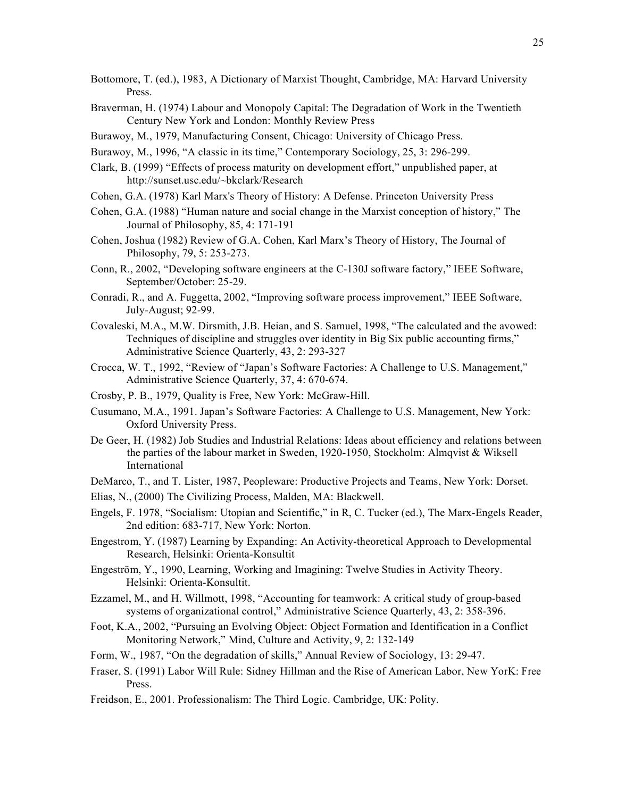Bottomore, T. (ed.), 1983, A Dictionary of Marxist Thought, Cambridge, MA: Harvard University Press.

- Braverman, H. (1974) Labour and Monopoly Capital: The Degradation of Work in the Twentieth Century New York and London: Monthly Review Press
- Burawoy, M., 1979, Manufacturing Consent, Chicago: University of Chicago Press.
- Burawoy, M., 1996, "A classic in its time," Contemporary Sociology, 25, 3: 296-299.
- Clark, B. (1999) "Effects of process maturity on development effort," unpublished paper, at http://sunset.usc.edu/~bkclark/Research
- Cohen, G.A. (1978) Karl Marx's Theory of History: A Defense. Princeton University Press
- Cohen, G.A. (1988) "Human nature and social change in the Marxist conception of history," The Journal of Philosophy, 85, 4: 171-191
- Cohen, Joshua (1982) Review of G.A. Cohen, Karl Marx's Theory of History, The Journal of Philosophy, 79, 5: 253-273.
- Conn, R., 2002, "Developing software engineers at the C-130J software factory," IEEE Software, September/October: 25-29.
- Conradi, R., and A. Fuggetta, 2002, "Improving software process improvement," IEEE Software, July-August; 92-99.
- Covaleski, M.A., M.W. Dirsmith, J.B. Heian, and S. Samuel, 1998, "The calculated and the avowed: Techniques of discipline and struggles over identity in Big Six public accounting firms," Administrative Science Quarterly, 43, 2: 293-327
- Crocca, W. T., 1992, "Review of "Japan's Software Factories: A Challenge to U.S. Management," Administrative Science Quarterly, 37, 4: 670-674.
- Crosby, P. B., 1979, Quality is Free, New York: McGraw-Hill.
- Cusumano, M.A., 1991. Japan's Software Factories: A Challenge to U.S. Management, New York: Oxford University Press.
- De Geer, H. (1982) Job Studies and Industrial Relations: Ideas about efficiency and relations between the parties of the labour market in Sweden, 1920-1950, Stockholm: Almqvist & Wiksell International

DeMarco, T., and T. Lister, 1987, Peopleware: Productive Projects and Teams, New York: Dorset.

- Elias, N., (2000) The Civilizing Process, Malden, MA: Blackwell.
- Engels, F. 1978, "Socialism: Utopian and Scientific," in R, C. Tucker (ed.), The Marx-Engels Reader, 2nd edition: 683-717, New York: Norton.
- Engestrom, Y. (1987) Learning by Expanding: An Activity-theoretical Approach to Developmental Research, Helsinki: Orienta-Konsultit
- Engeström, Y., 1990, Learning, Working and Imagining: Twelve Studies in Activity Theory. Helsinki: Orienta-Konsultit.
- Ezzamel, M., and H. Willmott, 1998, "Accounting for teamwork: A critical study of group-based systems of organizational control," Administrative Science Quarterly, 43, 2: 358-396.
- Foot, K.A., 2002, "Pursuing an Evolving Object: Object Formation and Identification in a Conflict Monitoring Network," Mind, Culture and Activity, 9, 2: 132-149
- Form, W., 1987, "On the degradation of skills," Annual Review of Sociology, 13: 29-47.
- Fraser, S. (1991) Labor Will Rule: Sidney Hillman and the Rise of American Labor, New YorK: Free Press.
- Freidson, E., 2001. Professionalism: The Third Logic. Cambridge, UK: Polity.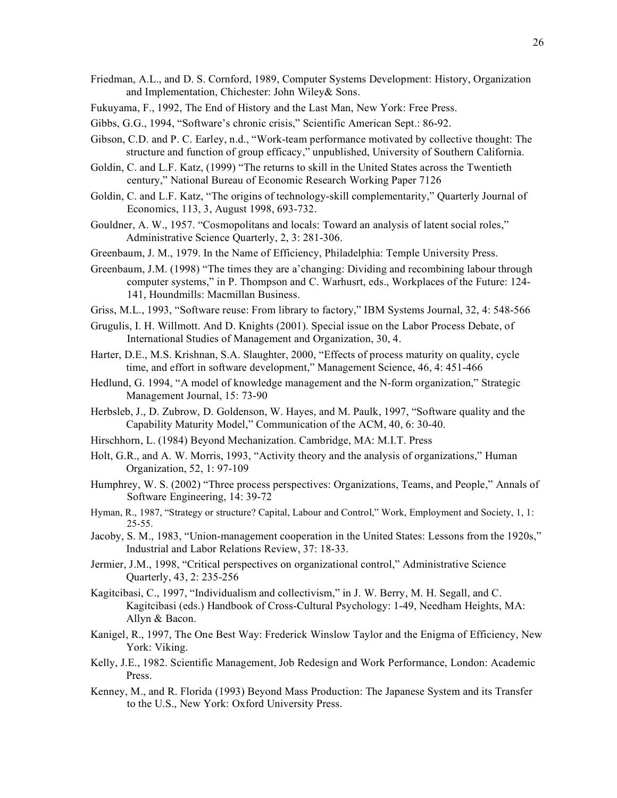- Friedman, A.L., and D. S. Cornford, 1989, Computer Systems Development: History, Organization and Implementation, Chichester: John Wiley& Sons.
- Fukuyama, F., 1992, The End of History and the Last Man, New York: Free Press.
- Gibbs, G.G., 1994, "Software's chronic crisis," Scientific American Sept.: 86-92.
- Gibson, C.D. and P. C. Earley, n.d., "Work-team performance motivated by collective thought: The structure and function of group efficacy," unpublished, University of Southern California.
- Goldin, C. and L.F. Katz, (1999) "The returns to skill in the United States across the Twentieth century," National Bureau of Economic Research Working Paper 7126
- Goldin, C. and L.F. Katz, "The origins of technology-skill complementarity," Quarterly Journal of Economics, 113, 3, August 1998, 693-732.
- Gouldner, A. W., 1957. "Cosmopolitans and locals: Toward an analysis of latent social roles," Administrative Science Quarterly, 2, 3: 281-306.
- Greenbaum, J. M., 1979. In the Name of Efficiency, Philadelphia: Temple University Press.
- Greenbaum, J.M. (1998) "The times they are a'changing: Dividing and recombining labour through computer systems," in P. Thompson and C. Warhusrt, eds., Workplaces of the Future: 124- 141, Houndmills: Macmillan Business.
- Griss, M.L., 1993, "Software reuse: From library to factory," IBM Systems Journal, 32, 4: 548-566
- Grugulis, I. H. Willmott. And D. Knights (2001). Special issue on the Labor Process Debate, of International Studies of Management and Organization, 30, 4.
- Harter, D.E., M.S. Krishnan, S.A. Slaughter, 2000, "Effects of process maturity on quality, cycle time, and effort in software development," Management Science, 46, 4: 451-466
- Hedlund, G. 1994, "A model of knowledge management and the N-form organization," Strategic Management Journal, 15: 73-90
- Herbsleb, J., D. Zubrow, D. Goldenson, W. Hayes, and M. Paulk, 1997, "Software quality and the Capability Maturity Model," Communication of the ACM, 40, 6: 30-40.
- Hirschhorn, L. (1984) Beyond Mechanization. Cambridge, MA: M.I.T. Press
- Holt, G.R., and A. W. Morris, 1993, "Activity theory and the analysis of organizations," Human Organization, 52, 1: 97-109
- Humphrey, W. S. (2002) "Three process perspectives: Organizations, Teams, and People," Annals of Software Engineering, 14: 39-72
- Hyman, R., 1987, "Strategy or structure? Capital, Labour and Control," Work, Employment and Society, 1, 1: 25-55.
- Jacoby, S. M., 1983, "Union-management cooperation in the United States: Lessons from the 1920s," Industrial and Labor Relations Review, 37: 18-33.
- Jermier, J.M., 1998, "Critical perspectives on organizational control," Administrative Science Quarterly, 43, 2: 235-256
- Kagitcibasi, C., 1997, "Individualism and collectivism," in J. W. Berry, M. H. Segall, and C. Kagitcibasi (eds.) Handbook of Cross-Cultural Psychology: 1-49, Needham Heights, MA: Allyn & Bacon.
- Kanigel, R., 1997, The One Best Way: Frederick Winslow Taylor and the Enigma of Efficiency, New York: Viking.
- Kelly, J.E., 1982. Scientific Management, Job Redesign and Work Performance, London: Academic Press.
- Kenney, M., and R. Florida (1993) Beyond Mass Production: The Japanese System and its Transfer to the U.S., New York: Oxford University Press.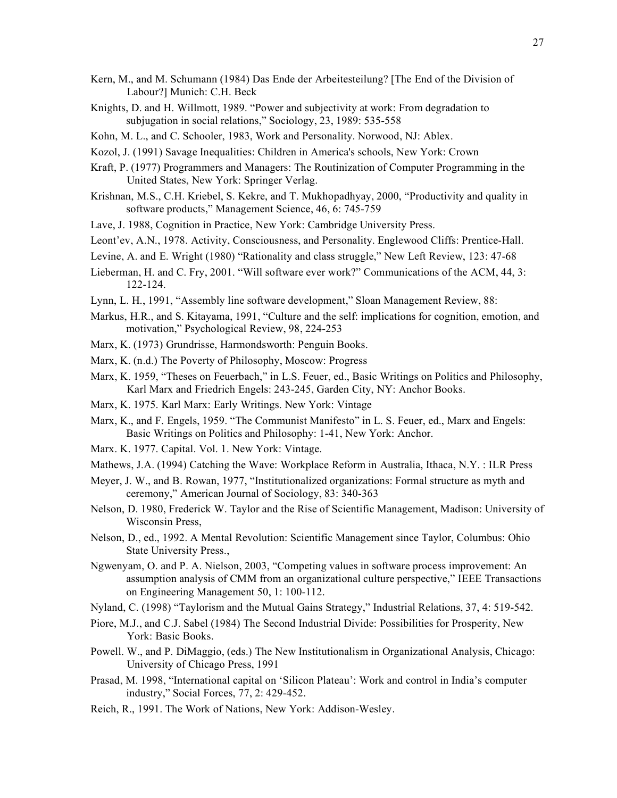- Kern, M., and M. Schumann (1984) Das Ende der Arbeitesteilung? [The End of the Division of Labour?] Munich: C.H. Beck
- Knights, D. and H. Willmott, 1989. "Power and subjectivity at work: From degradation to subjugation in social relations," Sociology, 23, 1989: 535-558
- Kohn, M. L., and C. Schooler, 1983, Work and Personality. Norwood, NJ: Ablex.
- Kozol, J. (1991) Savage Inequalities: Children in America's schools, New York: Crown
- Kraft, P. (1977) Programmers and Managers: The Routinization of Computer Programming in the United States, New York: Springer Verlag.
- Krishnan, M.S., C.H. Kriebel, S. Kekre, and T. Mukhopadhyay, 2000, "Productivity and quality in software products," Management Science, 46, 6: 745-759
- Lave, J. 1988, Cognition in Practice, New York: Cambridge University Press.
- Leont'ev, A.N., 1978. Activity, Consciousness, and Personality. Englewood Cliffs: Prentice-Hall.
- Levine, A. and E. Wright (1980) "Rationality and class struggle," New Left Review, 123: 47-68
- Lieberman, H. and C. Fry, 2001. "Will software ever work?" Communications of the ACM, 44, 3: 122-124.
- Lynn, L. H., 1991, "Assembly line software development," Sloan Management Review, 88:
- Markus, H.R., and S. Kitayama, 1991, "Culture and the self: implications for cognition, emotion, and motivation," Psychological Review, 98, 224-253
- Marx, K. (1973) Grundrisse, Harmondsworth: Penguin Books.
- Marx, K. (n.d.) The Poverty of Philosophy, Moscow: Progress
- Marx, K. 1959, "Theses on Feuerbach," in L.S. Feuer, ed., Basic Writings on Politics and Philosophy, Karl Marx and Friedrich Engels: 243-245, Garden City, NY: Anchor Books.
- Marx, K. 1975. Karl Marx: Early Writings. New York: Vintage
- Marx, K., and F. Engels, 1959. "The Communist Manifesto" in L. S. Feuer, ed., Marx and Engels: Basic Writings on Politics and Philosophy: 1-41, New York: Anchor.
- Marx. K. 1977. Capital. Vol. 1. New York: Vintage.
- Mathews, J.A. (1994) Catching the Wave: Workplace Reform in Australia, Ithaca, N.Y. : ILR Press
- Meyer, J. W., and B. Rowan, 1977, "Institutionalized organizations: Formal structure as myth and ceremony," American Journal of Sociology, 83: 340-363
- Nelson, D. 1980, Frederick W. Taylor and the Rise of Scientific Management, Madison: University of Wisconsin Press,
- Nelson, D., ed., 1992. A Mental Revolution: Scientific Management since Taylor, Columbus: Ohio State University Press.,
- Ngwenyam, O. and P. A. Nielson, 2003, "Competing values in software process improvement: An assumption analysis of CMM from an organizational culture perspective," IEEE Transactions on Engineering Management 50, 1: 100-112.
- Nyland, C. (1998) "Taylorism and the Mutual Gains Strategy," Industrial Relations, 37, 4: 519-542.
- Piore, M.J., and C.J. Sabel (1984) The Second Industrial Divide: Possibilities for Prosperity, New York: Basic Books.
- Powell. W., and P. DiMaggio, (eds.) The New Institutionalism in Organizational Analysis, Chicago: University of Chicago Press, 1991
- Prasad, M. 1998, "International capital on 'Silicon Plateau': Work and control in India's computer industry," Social Forces, 77, 2: 429-452.
- Reich, R., 1991. The Work of Nations, New York: Addison-Wesley.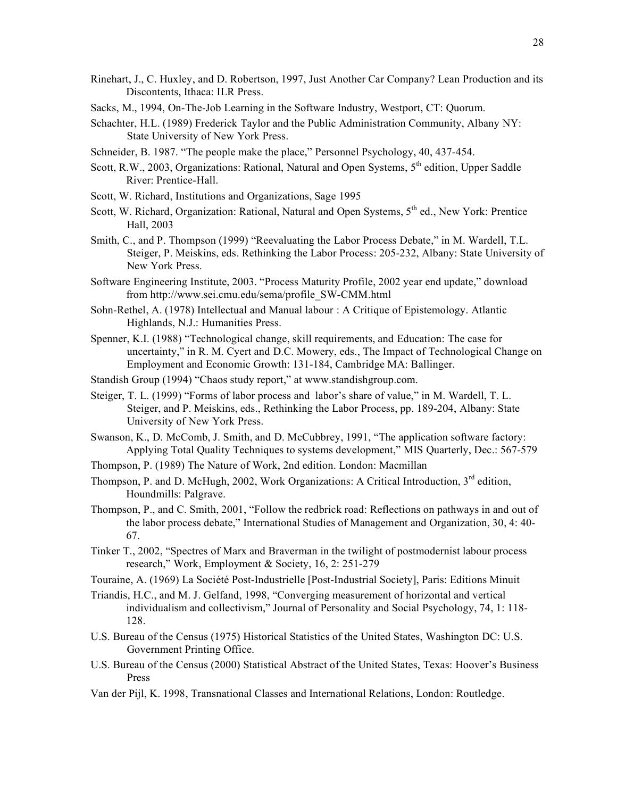- Rinehart, J., C. Huxley, and D. Robertson, 1997, Just Another Car Company? Lean Production and its Discontents, Ithaca: ILR Press.
- Sacks, M., 1994, On-The-Job Learning in the Software Industry, Westport, CT: Quorum.
- Schachter, H.L. (1989) Frederick Taylor and the Public Administration Community, Albany NY: State University of New York Press.
- Schneider, B. 1987. "The people make the place," Personnel Psychology, 40, 437-454.
- Scott, R.W., 2003, Organizations: Rational, Natural and Open Systems,  $5<sup>th</sup>$  edition, Upper Saddle River: Prentice-Hall.
- Scott, W. Richard, Institutions and Organizations, Sage 1995
- Scott, W. Richard, Organization: Rational, Natural and Open Systems, 5<sup>th</sup> ed., New York: Prentice Hall, 2003
- Smith, C., and P. Thompson (1999) "Reevaluating the Labor Process Debate," in M. Wardell, T.L. Steiger, P. Meiskins, eds. Rethinking the Labor Process: 205-232, Albany: State University of New York Press.
- Software Engineering Institute, 2003. "Process Maturity Profile, 2002 year end update," download from http://www.sei.cmu.edu/sema/profile\_SW-CMM.html
- Sohn-Rethel, A. (1978) Intellectual and Manual labour : A Critique of Epistemology. Atlantic Highlands, N.J.: Humanities Press.
- Spenner, K.I. (1988) "Technological change, skill requirements, and Education: The case for uncertainty," in R. M. Cyert and D.C. Mowery, eds., The Impact of Technological Change on Employment and Economic Growth: 131-184, Cambridge MA: Ballinger.
- Standish Group (1994) "Chaos study report," at www.standishgroup.com.
- Steiger, T. L. (1999) "Forms of labor process and labor's share of value," in M. Wardell, T. L. Steiger, and P. Meiskins, eds., Rethinking the Labor Process, pp. 189-204, Albany: State University of New York Press.
- Swanson, K., D. McComb, J. Smith, and D. McCubbrey, 1991, "The application software factory: Applying Total Quality Techniques to systems development," MIS Quarterly, Dec.: 567-579
- Thompson, P. (1989) The Nature of Work, 2nd edition. London: Macmillan
- Thompson, P. and D. McHugh, 2002, Work Organizations: A Critical Introduction,  $3<sup>rd</sup>$  edition, Houndmills: Palgrave.
- Thompson, P., and C. Smith, 2001, "Follow the redbrick road: Reflections on pathways in and out of the labor process debate," International Studies of Management and Organization, 30, 4: 40- 67.
- Tinker T., 2002, "Spectres of Marx and Braverman in the twilight of postmodernist labour process research," Work, Employment & Society, 16, 2: 251-279
- Touraine, A. (1969) La Société Post-Industrielle [Post-Industrial Society], Paris: Editions Minuit
- Triandis, H.C., and M. J. Gelfand, 1998, "Converging measurement of horizontal and vertical individualism and collectivism," Journal of Personality and Social Psychology, 74, 1: 118- 128.
- U.S. Bureau of the Census (1975) Historical Statistics of the United States, Washington DC: U.S. Government Printing Office.
- U.S. Bureau of the Census (2000) Statistical Abstract of the United States, Texas: Hoover's Business Press
- Van der Pijl, K. 1998, Transnational Classes and International Relations, London: Routledge.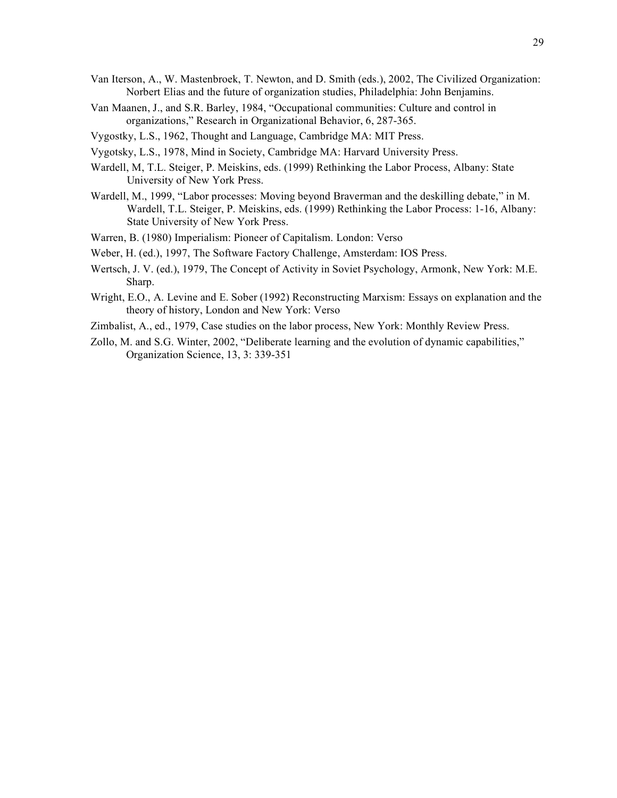- Van Iterson, A., W. Mastenbroek, T. Newton, and D. Smith (eds.), 2002, The Civilized Organization: Norbert Elias and the future of organization studies, Philadelphia: John Benjamins.
- Van Maanen, J., and S.R. Barley, 1984, "Occupational communities: Culture and control in organizations," Research in Organizational Behavior, 6, 287-365.
- Vygostky, L.S., 1962, Thought and Language, Cambridge MA: MIT Press.
- Vygotsky, L.S., 1978, Mind in Society, Cambridge MA: Harvard University Press.
- Wardell, M, T.L. Steiger, P. Meiskins, eds. (1999) Rethinking the Labor Process, Albany: State University of New York Press.
- Wardell, M., 1999, "Labor processes: Moving beyond Braverman and the deskilling debate," in M. Wardell, T.L. Steiger, P. Meiskins, eds. (1999) Rethinking the Labor Process: 1-16, Albany: State University of New York Press.
- Warren, B. (1980) Imperialism: Pioneer of Capitalism. London: Verso
- Weber, H. (ed.), 1997, The Software Factory Challenge, Amsterdam: IOS Press.
- Wertsch, J. V. (ed.), 1979, The Concept of Activity in Soviet Psychology, Armonk, New York: M.E. Sharp.
- Wright, E.O., A. Levine and E. Sober (1992) Reconstructing Marxism: Essays on explanation and the theory of history, London and New York: Verso
- Zimbalist, A., ed., 1979, Case studies on the labor process, New York: Monthly Review Press.
- Zollo, M. and S.G. Winter, 2002, "Deliberate learning and the evolution of dynamic capabilities," Organization Science, 13, 3: 339-351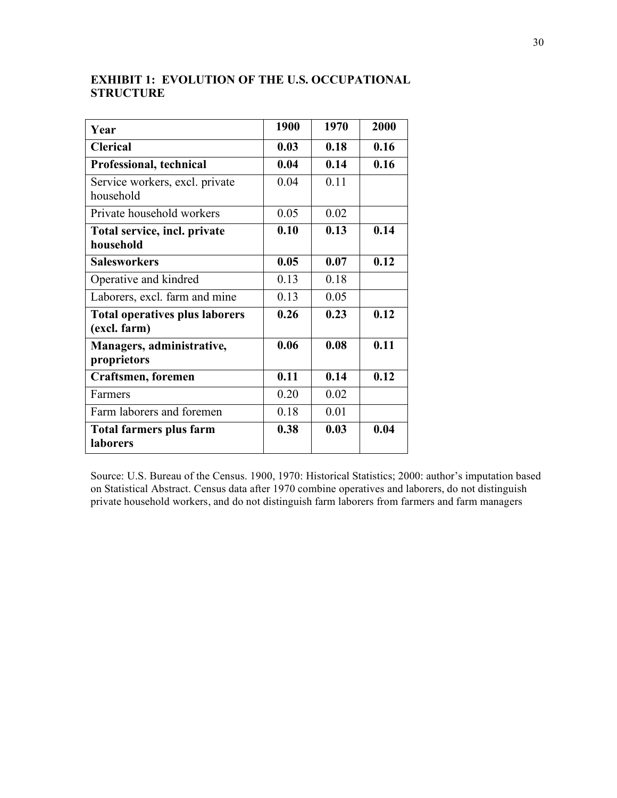# **EXHIBIT 1: EVOLUTION OF THE U.S. OCCUPATIONAL STRUCTURE**

| Year                                                  | 1900 | 1970 | 2000 |
|-------------------------------------------------------|------|------|------|
| <b>Clerical</b>                                       | 0.03 | 0.18 | 0.16 |
| Professional, technical                               | 0.04 | 0.14 | 0.16 |
| Service workers, excl. private<br>household           | 0.04 | 0.11 |      |
| Private household workers                             | 0.05 | 0.02 |      |
| Total service, incl. private<br>household             | 0.10 | 0.13 | 0.14 |
| <b>Salesworkers</b>                                   | 0.05 | 0.07 | 0.12 |
| Operative and kindred                                 | 0.13 | 0.18 |      |
| Laborers, excl. farm and mine                         | 0.13 | 0.05 |      |
| <b>Total operatives plus laborers</b><br>(excl. farm) | 0.26 | 0.23 | 0.12 |
| Managers, administrative,<br>proprietors              | 0.06 | 0.08 | 0.11 |
| <b>Craftsmen, foremen</b>                             | 0.11 | 0.14 | 0.12 |
| Farmers                                               | 0.20 | 0.02 |      |
| Farm laborers and foremen                             | 0.18 | 0.01 |      |
| <b>Total farmers plus farm</b><br>laborers            | 0.38 | 0.03 | 0.04 |

Source: U.S. Bureau of the Census. 1900, 1970: Historical Statistics; 2000: author's imputation based on Statistical Abstract. Census data after 1970 combine operatives and laborers, do not distinguish private household workers, and do not distinguish farm laborers from farmers and farm managers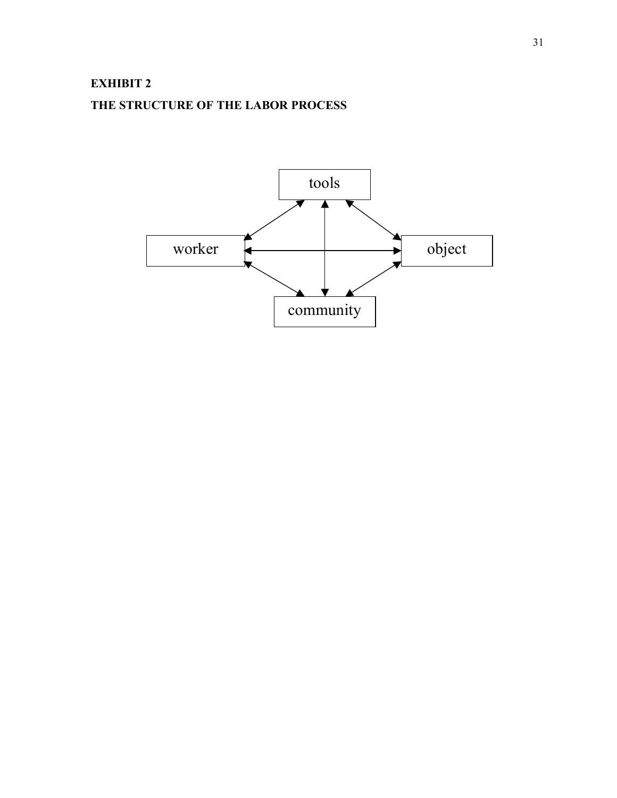# **EXHIBIT 2**

# **THE STRUCTURE OF THE LABOR PROCESS**